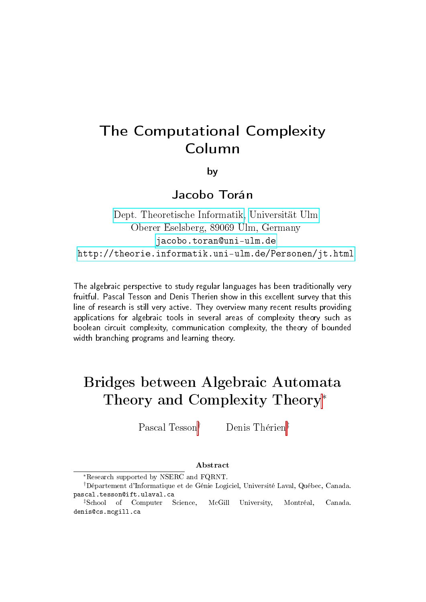# The Computational Complexity Column

by

Jacobo Torán

[Dept. Theoretische Informatik,](http://informatik.uni-ulm.de) [Universität Ulm](http://www.uni-ulm.de) Oberer Eselsberg, 89069 Ulm, Germany <jacobo.toran@uni-ulm.de> <http://theorie.informatik.uni-ulm.de/Personen/jt.html>

The algebraic perspective to study regular languages has been traditionally very fruitful. Pascal Tesson and Denis Therien show in this excellent survey that this line of research is still very active. They overview many recent results providing applications for algebraic tools in several areas of complexity theory such as boolean circuit complexity, communication complexity, the theory of bounded width branching programs and learning theory.

# Bridges between Algebraic Automata Theory and Complexity Theory<sup>∗</sup>

Pascal Tesson† Denis Thérien‡

#### Abstract

<sup>∗</sup>Research supported by NSERC and FQRNT.

<sup>†</sup>Département d'Informatique et de Génie Logiciel, Université Laval, Québec, Canada. pascal.tesson@ift.ulaval.ca

<sup>‡</sup>School of Computer Science, McGill University, Montréal, Canada. denis@cs.mcgill.ca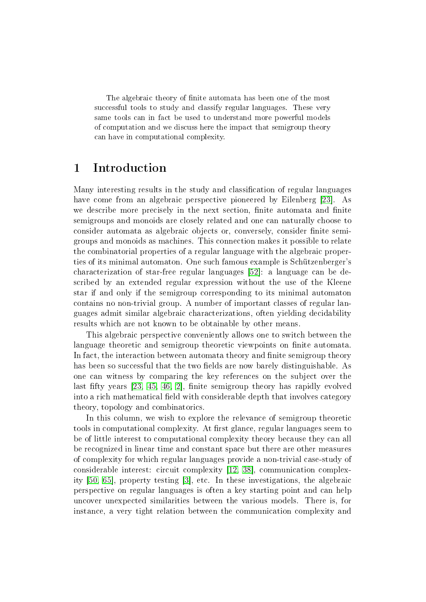The algebraic theory of finite automata has been one of the most successful tools to study and classify regular languages. These very same tools can in fact be used to understand more powerful models of computation and we discuss here the impact that semigroup theory can have in computational complexity.

## 1 Introduction

Many interesting results in the study and classification of regular languages have come from an algebraic perspective pioneered by Eilenberg [\[23\]](#page-26-0). As we describe more precisely in the next section, finite automata and finite semigroups and monoids are closely related and one can naturally choose to consider automata as algebraic objects or, conversely, consider finite semigroups and monoids as machines. This connection makes it possible to relate the combinatorial properties of a regular language with the algebraic properties of its minimal automaton. One such famous example is Schützenberger's characterization of star-free regular languages [\[52\]](#page-28-0): a language can be described by an extended regular expression without the use of the Kleene star if and only if the semigroup corresponding to its minimal automaton contains no non-trivial group. A number of important classes of regular languages admit similar algebraic characterizations, often yielding decidability results which are not known to be obtainable by other means.

This algebraic perspective conveniently allows one to switch between the language theoretic and semigroup theoretic viewpoints on finite automata. In fact, the interaction between automata theory and finite semigroup theory has been so successful that the two fields are now barely distinguishable. As one can witness by comparing the key references on the subject over the last fifty years  $[23, 45, 46, 2]$  $[23, 45, 46, 2]$  $[23, 45, 46, 2]$  $[23, 45, 46, 2]$ , finite semigroup theory has rapidly evolved into a rich mathematical field with considerable depth that involves category theory, topology and combinatorics.

In this column, we wish to explore the relevance of semigroup theoretic tools in computational complexity. At first glance, regular languages seem to be of little interest to computational complexity theory because they can all be recognized in linear time and constant space but there are other measures of complexity for which regular languages provide a non-trivial case-study of considerable interest: circuit complexity [\[12,](#page-25-1) [38\]](#page-27-2), communication complexity [\[50,](#page-28-1) [65\]](#page-29-0), property testing [\[3\]](#page-25-2), etc. In these investigations, the algebraic perspective on regular languages is often a key starting point and can help uncover unexpected similarities between the various models. There is, for instance, a very tight relation between the communication complexity and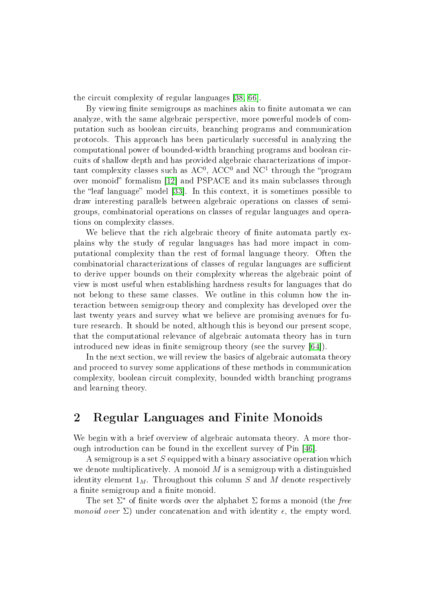the circuit complexity of regular languages [\[38,](#page-27-2) [66\]](#page-29-1).

By viewing finite semigroups as machines akin to finite automata we can analyze, with the same algebraic perspective, more powerful models of computation such as boolean circuits, branching programs and communication protocols. This approach has been particularly successful in analyzing the computational power of bounded-width branching programs and boolean circuits of shallow depth and has provided algebraic characterizations of important complexity classes such as  $AC^0$ ,  $ACC^0$  and  $NC^1$  through the "program over monoid" formalism [\[12\]](#page-25-1) and PSPACE and its main subclasses through the "leaf language" model [\[33\]](#page-27-3). In this context, it is sometimes possible to draw interesting parallels between algebraic operations on classes of semigroups, combinatorial operations on classes of regular languages and operations on complexity classes.

We believe that the rich algebraic theory of finite automata partly explains why the study of regular languages has had more impact in computational complexity than the rest of formal language theory. Often the combinatorial characterizations of classes of regular languages are sufficient to derive upper bounds on their complexity whereas the algebraic point of view is most useful when establishing hardness results for languages that do not belong to these same classes. We outline in this column how the interaction between semigroup theory and complexity has developed over the last twenty years and survey what we believe are promising avenues for future research. It should be noted, although this is beyond our present scope, that the computational relevance of algebraic automata theory has in turn introduced new ideas in finite semigroup theory (see the survey  $[64]$ ).

In the next section, we will review the basics of algebraic automata theory and proceed to survey some applications of these methods in communication complexity, boolean circuit complexity, bounded width branching programs and learning theory.

# 2 Regular Languages and Finite Monoids

We begin with a brief overview of algebraic automata theory. A more thorough introduction can be found in the excellent survey of Pin [\[46\]](#page-27-1).

A semigroup is a set S equipped with a binary associative operation which we denote multiplicatively. A monoid  $M$  is a semigroup with a distinguished identity element  $1_M$ . Throughout this column S and M denote respectively a finite semigroup and a finite monoid.

The set  $\Sigma^*$  of finite words over the alphabet  $\Sigma$  forms a monoid (the free monoid over  $\Sigma$ ) under concatenation and with identity  $\epsilon$ , the empty word.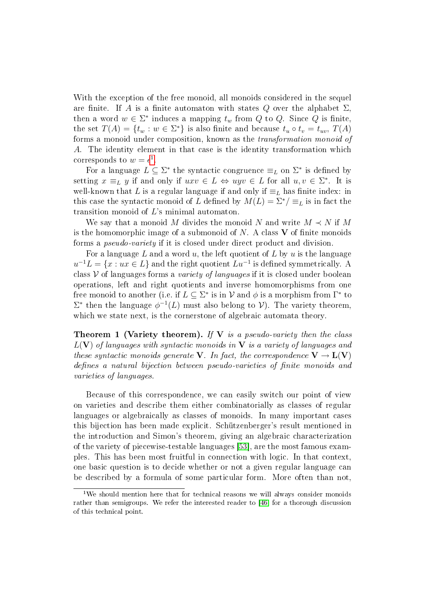With the exception of the free monoid, all monoids considered in the sequel are finite. If A is a finite automaton with states Q over the alphabet  $\Sigma$ . then a word  $w \in \Sigma^*$  induces a mapping  $t_w$  from  $Q$  to  $Q$ . Since  $Q$  is finite, the set  $T(A) = \{t_w : w \in \Sigma^*\}$  is also finite and because  $t_u \circ t_v = t_{uv}, T(A)$ forms a monoid under composition, known as the transformation monoid of A. The identity element in that case is the identity transformation which corresponds to  $w = \epsilon^1$  $w = \epsilon^1$ .

For a language  $L \subseteq \Sigma^*$  the syntactic congruence  $\equiv_L$  on  $\Sigma^*$  is defined by setting  $x \equiv_L y$  if and only if  $uxv \in L \Leftrightarrow uyv \in L$  for all  $u, v \in \Sigma^*$ . It is well-known that L is a regular language if and only if  $\equiv_L$  has finite index: in this case the syntactic monoid of L defined by  $M(L) = \sum^* / \equiv_L$  is in fact the transition monoid of L's minimal automaton.

We say that a monoid M divides the monoid N and write  $M \prec N$  if M is the homomorphic image of a submonoid of  $N$ . A class  $V$  of finite monoids forms a pseudo-variety if it is closed under direct product and division.

For a language  $L$  and a word  $u$ , the left quotient of  $L$  by  $u$  is the language  $u^{-1}L = \{x : ux \in L\}$  and the right quotient  $Lu^{-1}$  is defined symmetrically. A class  $V$  of languages forms a variety of languages if it is closed under boolean operations, left and right quotients and inverse homomorphisms from one free monoid to another (i.e. if  $L \subseteq \Sigma^*$  is in  ${\mathcal V}$  and  $\phi$  is a morphism from  $\Gamma^*$  to  $\Sigma^*$  then the language  $\phi^{-1}(L)$  must also belong to V). The variety theorem, which we state next, is the cornerstone of algebraic automata theory.

**Theorem 1 (Variety theorem).** If  $V$  is a pseudo-variety then the class  $L(V)$  of languages with syntactic monoids in V is a variety of languages and these syntactic monoids generate V. In fact, the correspondence  $V \to L(V)$ defines a natural bijection between pseudo-varieties of finite monoids and varieties of languages.

Because of this correspondence, we can easily switch our point of view on varieties and describe them either combinatorially as classes of regular languages or algebraically as classes of monoids. In many important cases this bijection has been made explicit. Schützenberger's result mentioned in the introduction and Simon's theorem, giving an algebraic characterization of the variety of piecewise-testable languages [\[53\]](#page-28-3), are the most famous examples. This has been most fruitful in connection with logic. In that context, one basic question is to decide whether or not a given regular language can be described by a formula of some particular form. More often than not,

<span id="page-3-0"></span> $1$ We should mention here that for technical reasons we will always consider monoids rather than semigroups. We refer the interested reader to [\[46\]](#page-27-1) for a thorough discussion of this technical point.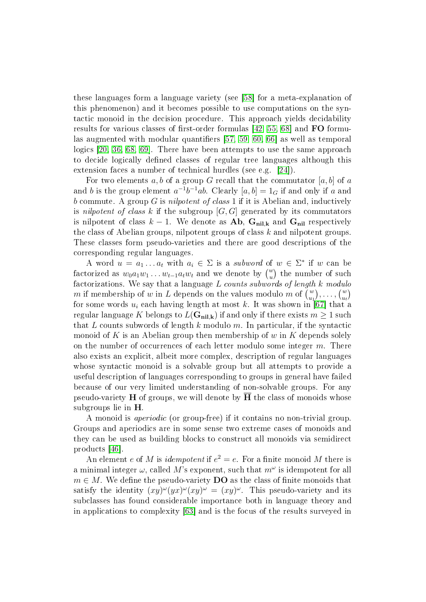these languages form a language variety (see [\[58\]](#page-28-4) for a meta-explanation of this phenomenon) and it becomes possible to use computations on the syntactic monoid in the decision procedure. This approach yields decidability results for various classes of first-order formulas  $[42, 55, 68]$  $[42, 55, 68]$  $[42, 55, 68]$  and FO formu-las augmented with modular quantifiers [\[57,](#page-28-6) [59,](#page-28-7) [60,](#page-28-8) [66\]](#page-29-1) as well as temporal logics [\[20,](#page-26-1) [36,](#page-27-5) [68,](#page-29-2) [69\]](#page-29-3). There have been attempts to use the same approach to decide logically defined classes of regular tree languages although this extension faces a number of technical hurdles (see e.g. [\[24\]](#page-26-2)).

For two elements a, b of a group G recall that the commutator  $[a, b]$  of a and b is the group element  $a^{-1}b^{-1}ab$ . Clearly  $[a,b] = 1_G$  if and only if a and b commute. A group G is *nilpotent of class* 1 if it is Abelian and, inductively is nilpotent of class k if the subgroup  $[G, G]$  generated by its commutators is nilpotent of class  $k - 1$ . We denote as **Ab**, G<sub>nil,k</sub> and G<sub>nil</sub> respectively the class of Abelian groups, nilpotent groups of class  $k$  and nilpotent groups. These classes form pseudo-varieties and there are good descriptions of the corresponding regular languages.

A word  $u = a_1 \dots a_t$  with  $a_i \in \Sigma$  is a subword of  $w \in \Sigma^*$  if w can be factorized as  $w_0a_1w_1\dots w_{t-1}a_tw_t$  and we denote by  $\binom{w}{u}$  the number of such factorizations. We say that a language  $L$  counts subwords of length  $k$  modulo m if membership of w in L depends on the values modulo m of  $\binom{w}{u_1}, \ldots, \binom{w}{u_t}$ for some words  $u_i$  each having length at most  $k.$  It was shown in [\[67\]](#page-29-4) that a regular language K belongs to  $L(G_{nil,k})$  if and only if there exists  $m \geq 1$  such that L counts subwords of length k modulo  $m$ . In particular, if the syntactic monoid of K is an Abelian group then membership of w in K depends solely on the number of occurrences of each letter modulo some integer  $m$ . There also exists an explicit, albeit more complex, description of regular languages whose syntactic monoid is a solvable group but all attempts to provide a useful description of languages corresponding to groups in general have failed because of our very limited understanding of non-solvable groups. For any pseudo-variety  $H$  of groups, we will denote by  $H$  the class of monoids whose subgroups lie in H.

A monoid is aperiodic (or group-free) if it contains no non-trivial group. Groups and aperiodics are in some sense two extreme cases of monoids and they can be used as building blocks to construct all monoids via semidirect products [\[46\]](#page-27-1).

An element e of M is *idempotent* if  $e^2 = e$ . For a finite monoid M there is a minimal integer  $\omega$ , called  $M$ 's exponent, such that  $m^\omega$  is idempotent for all  $m \in M$ . We define the pseudo-variety **DO** as the class of finite monoids that satisfy the identity  $(xy)^{\omega}(yx)^{\omega}(xy)^{\omega} = (xy)^{\omega}$ . This pseudo-variety and its subclasses has found considerable importance both in language theory and in applications to complexity [\[63\]](#page-28-9) and is the focus of the results surveyed in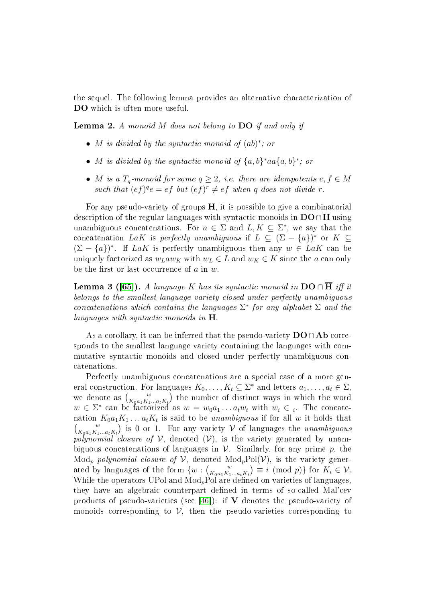the sequel. The following lemma provides an alternative characterization of DO which is often more useful.

<span id="page-5-0"></span>**Lemma 2.** A monoid M does not belong to  $\overline{DO}$  if and only if

- M is divided by the syntactic monoid of (ab) ∗ ; or
- M is divided by the syntactic monoid of  $\{a,b\}^*$  aa $\{a,b\}^*$ ; or
- M is a  $T_q$ -monoid for some  $q \geq 2$ , i.e. there are idempotents  $e, f \in M$ such that  $(ef)^{q}e = ef$  but  $(ef)^{r} \neq ef$  when q does not divide r.

For any pseudo-variety of groups  $H$ , it is possible to give a combinatorial description of the regular languages with syntactic monoids in  $DO \cap \overline{H}$  using unambiguous concatenations. For  $a \in \Sigma$  and  $L, K \subseteq \Sigma^*$ , we say that the concatenation LaK is perfectly unambiguous if  $L \subseteq (\Sigma - \{a\})^*$  or  $K \subseteq$  $(\Sigma - \{a\})^*$ . If LaK is perfectly unambiguous then any  $w \in \text{LaK}$  can be uniquely factorized as  $w_L a w_K$  with  $w_L \in L$  and  $w_K \in K$  since the a can only be the first or last occurrence of  $a$  in  $w$ .

**Lemma 3 ([\[65\]](#page-29-0)).** A language K has its syntactic monoid in  $\text{DO} \cap \overline{\text{H}}$  iff it belongs to the smallest language variety closed under perfectly unambiguous concatenations which contains the languages  $\Sigma^*$  for any alphabet  $\Sigma$  and the languages with syntactic monoids in H.

As a corollary, it can be inferred that the pseudo-variety  $\mathbf{DO} \cap \mathbf{Ab}$  corresponds to the smallest language variety containing the languages with commutative syntactic monoids and closed under perfectly unambiguous concatenations.

Perfectly unambiguous concatenations are a special case of a more general construction. For languages  $K_0, \ldots, K_t \subseteq \Sigma^*$  and letters  $a_1, \ldots, a_t \in \Sigma$ , we denote as  $\binom{w}{K_0a_1K_1...a_tK_t}$  the number of distinct ways in which the word  $w \in \Sigma^*$  can be factorized as  $w = w_0 a_1 \dots a_t w_t$  with  $w_i \in i$ . The concatenation  $K_0a_1K_1\dots a_tK_t$  is said to be *unambiguous* if for all  $w$  it holds that  $\binom{w}{K_0a_1K_1...a_tK_t}$  is 0 or 1. For any variety V of languages the unambiguous polynomial closure of  $V$ , denoted  $(V)$ , is the variety generated by unambiguous concatenations of languages in  $\mathcal V$ . Similarly, for any prime p, the  $Mod_p$  polynomial closure of V, denoted  $Mod_pPol(V)$ , is the variety generated by languages of the form  $\{w : \begin{pmatrix} w \\ K_0a_1K_1...a_tK_t \end{pmatrix} \equiv i \pmod{p} \}$  for  $K_i \in \mathcal{V}$ . While the operators UPol and  $Mod_pPol$  are defined on varieties of languages, they have an algebraic counterpart defined in terms of so-called Mal'cev products of pseudo-varieties (see  $[46]$ ): if V denotes the pseudo-variety of monoids corresponding to  $\mathcal V$ , then the pseudo-varieties corresponding to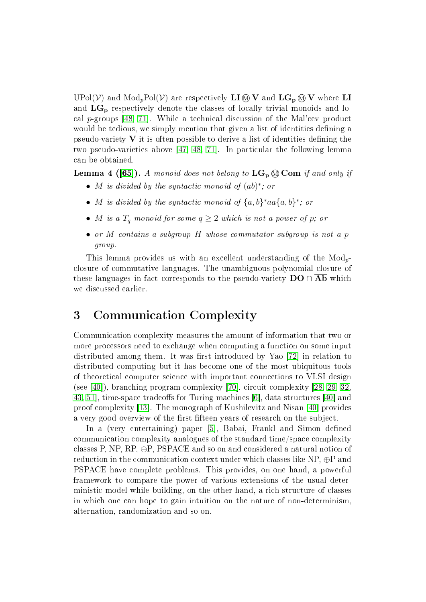UPol(V) and  $Mod_pPol(V)$  are respectively **LI**  $\textcircled{N}$  **V** and  $LG_p \textcircled{N}$  **V** where **LI** and  $LG_p$  respectively denote the classes of locally trivial monoids and local p-groups [\[48,](#page-28-10) [71\]](#page-29-5). While a technical discussion of the Mal'cev product would be tedious, we simply mention that given a list of identities defining a pseudo-variety  $V$  it is often possible to derive a list of identities defining the two pseudo-varieties above [\[47,](#page-27-6) [48,](#page-28-10) [71\]](#page-29-5). In particular the following lemma can be obtained.

**Lemma 4 ([\[65\]](#page-29-0)).** A monoid does not belong to  $LG_p \otimes Com$  if and only if

- M is divided by the syntactic monoid of (ab) ∗ ; or
- M is divided by the syntactic monoid of  $\{a,b\}^*$  aa $\{a,b\}^*$ ; or
- M is a  $T_q$ -monoid for some  $q \geq 2$  which is not a power of p; or
- or  $M$  contains a subgroup  $H$  whose commutator subgroup is not a pgroup.

This lemma provides us with an excellent understanding of the  $Mod_{p}$ closure of commutative languages. The unambiguous polynomial closure of these languages in fact corresponds to the pseudo-variety  $\mathbf{DO} \cap \mathbf{Ab}$  which we discussed earlier.

# 3 Communication Complexity

Communication complexity measures the amount of information that two or more processors need to exchange when computing a function on some input distributed among them. It was first introduced by Yao  $[72]$  in relation to distributed computing but it has become one of the most ubiquitous tools of theoretical computer science with important connections to VLSI design (see [\[40\]](#page-27-7)), branching program complexity [\[70\]](#page-29-7), circuit complexity [\[28,](#page-26-3) [29,](#page-26-4) [32,](#page-27-8) [43,](#page-27-9) 51, time-space tradeoffs for Turing machines [\[6\]](#page-25-3), data structures [\[40\]](#page-27-7) and proof complexity [\[13\]](#page-25-4). The monograph of Kushilevitz and Nisan [\[40\]](#page-27-7) provides a very good overview of the first fifteen years of research on the subject.

In a (very entertaining) paper [\[5\]](#page-25-5), Babai, Frankl and Simon defined communication complexity analogues of the standard time/space complexity classes P, NP,  $RP$ ,  $\oplus$ P, PSPACE and so on and considered a natural notion of reduction in the communication context under which classes like  $NP, \oplus P$  and PSPACE have complete problems. This provides, on one hand, a powerful framework to compare the power of various extensions of the usual deterministic model while building, on the other hand, a rich structure of classes in which one can hope to gain intuition on the nature of non-determinism, alternation, randomization and so on.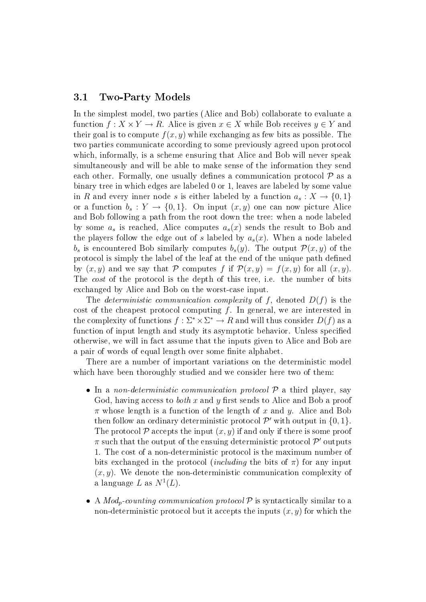#### 3.1 Two-Party Models

In the simplest model, two parties (Alice and Bob) collaborate to evaluate a function  $f: X \times Y \to R$ . Alice is given  $x \in X$  while Bob receives  $y \in Y$  and their goal is to compute  $f(x, y)$  while exchanging as few bits as possible. The two parties communicate according to some previously agreed upon protocol which, informally, is a scheme ensuring that Alice and Bob will never speak simultaneously and will be able to make sense of the information they send each other. Formally, one usually defines a communication protocol  $P$  as a binary tree in which edges are labeled 0 or 1, leaves are labeled by some value in R and every inner node s is either labeled by a function  $a_s: X \to \{0,1\}$ or a function  $b_s: Y \to \{0,1\}$ . On input  $(x, y)$  one can now picture Alice and Bob following a path from the root down the tree: when a node labeled by some  $a_s$  is reached, Alice computes  $a_s(x)$  sends the result to Bob and the players follow the edge out of s labeled by  $a_s(x)$ . When a node labeled  $b_s$  is encountered Bob similarly computes  $b_s(y)$ . The output  $\mathcal{P}(x, y)$  of the protocol is simply the label of the leaf at the end of the unique path defined by  $(x, y)$  and we say that P computes f if  $\mathcal{P}(x, y) = f(x, y)$  for all  $(x, y)$ . The *cost* of the protocol is the depth of this tree, i.e. the number of bits exchanged by Alice and Bob on the worst-case input.

The *deterministic communication complexity* of f, denoted  $D(f)$  is the cost of the cheapest protocol computing  $f$ . In general, we are interested in the complexity of functions  $f : \Sigma^* \times \Sigma^* \to R$  and will thus consider  $D(f)$  as a function of input length and study its asymptotic behavior. Unless specified otherwise, we will in fact assume that the inputs given to Alice and Bob are a pair of words of equal length over some finite alphabet.

There are a number of important variations on the deterministic model which have been thoroughly studied and we consider here two of them:

- In a non-deterministic communication protocol  $P$  a third player, say God, having access to *both* x and y first sends to Alice and Bob a proof  $\pi$  whose length is a function of the length of x and y. Alice and Bob then follow an ordinary deterministic protocol  $\mathcal{P}'$  with output in  $\{0, 1\}.$ The protocol  $P$  accepts the input  $(x, y)$  if and only if there is some proof  $\pi$  such that the output of the ensuing deterministic protocol  $\mathcal{P}'$  outputs 1. The cost of a non-deterministic protocol is the maximum number of bits exchanged in the protocol *(including* the bits of  $\pi$ ) for any input  $(x, y)$ . We denote the non-deterministic communication complexity of a language L as  $N^1(L)$ .
- A  $Mod_p$ -counting communication protocol  $P$  is syntactically similar to a non-deterministic protocol but it accepts the inputs  $(x, y)$  for which the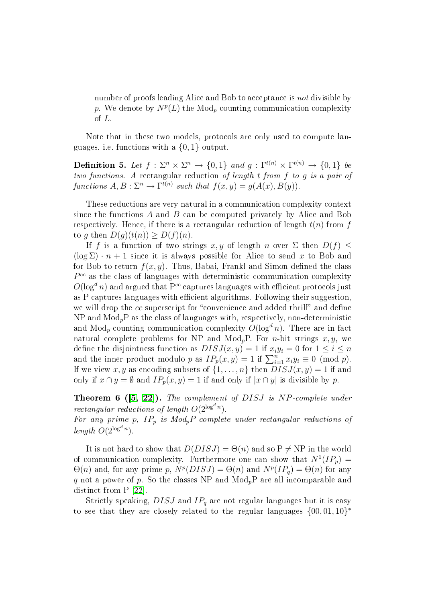number of proofs leading Alice and Bob to acceptance is not divisible by p. We denote by  $N^p(L)$  the Mod<sub>p</sub>-counting communication complexity of L.

Note that in these two models, protocols are only used to compute languages, i.e. functions with a {0, 1} output.

**Definition 5.** Let  $f: \Sigma^n \times \Sigma^n \to \{0,1\}$  and  $g: \Gamma^{t(n)} \times \Gamma^{t(n)} \to \{0,1\}$  be two functions. A rectangular reduction of length t from f to g is a pair of functions  $A, B: \Sigma^n \to \Gamma^{t(n)}$  such that  $f(x, y) = g(A(x), B(y)).$ 

These reductions are very natural in a communication complexity context since the functions  $A$  and  $B$  can be computed privately by Alice and Bob respectively. Hence, if there is a rectangular reduction of length  $t(n)$  from f to g then  $D(g)(t(n)) \geq D(f)(n)$ .

If f is a function of two strings x, y of length n over  $\Sigma$  then  $D(f) \leq$  $(\log \Sigma) \cdot n + 1$  since it is always possible for Alice to send x to Bob and for Bob to return  $f(x, y)$ . Thus, Babai, Frankl and Simon defined the class  $P^{cc}$  as the class of languages with deterministic communication complexity  $O(\log^d n)$  and argued that  $P^{cc}$  captures languages with efficient protocols just as P captures languages with efficient algorithms. Following their suggestion, we will drop the  $cc$  superscript for "convenience and added thrill" and define  $NP$  and  $Mod<sub>n</sub>P$  as the class of languages with, respectively, non-deterministic and  $Mod<sub>n</sub>$ -counting communication complexity  $O(log<sup>d</sup> n)$ . There are in fact natural complete problems for NP and  $Mod<sub>p</sub>P$ . For *n*-bit strings x, y, we define the disjointness function as  $DISJ(x, y) = 1$  if  $x_i y_i = 0$  for  $1 \leq i \leq n$ and the inner product modulo p as  $IP_p(x, y) = 1$  if  $\sum_{i=1}^n x_i y_i \equiv 0 \pmod{p}$ . If we view x, y as encoding subsets of  $\{1, \ldots, n\}$  then  $DISJ(x, y) = 1$  if and only if  $x \cap y = \emptyset$  and  $IP_p(x, y) = 1$  if and only if  $|x \cap y|$  is divisible by p.

Theorem 6 ([\[5,](#page-25-5) [22\]](#page-26-5)). The complement of DISJ is NP-complete under rectangular reductions of length  $O(2^{\log^d n})$ .

For any prime p,  $IP_p$  is  $Mod_pP$ -complete under rectangular reductions of length  $O(2^{\log^d n})$ .

It is not hard to show that  $D(DISJ) = \Theta(n)$  and so  $P \neq NP$  in the world of communication complexity. Furthermore one can show that  $N^1(I_P) =$  $\Theta(n)$  and, for any prime p,  $N^p(DISJ) = \Theta(n)$  and  $N^p(IP_q) = \Theta(n)$  for any q not a power of p. So the classes NP and  $Mod<sub>p</sub>P$  are all incomparable and distinct from P [\[22\]](#page-26-5).

Strictly speaking,  $DISJ$  and  $IP<sub>q</sub>$  are not regular languages but it is easy to see that they are closely related to the regular languages  $\{00, 01, 10\}^*$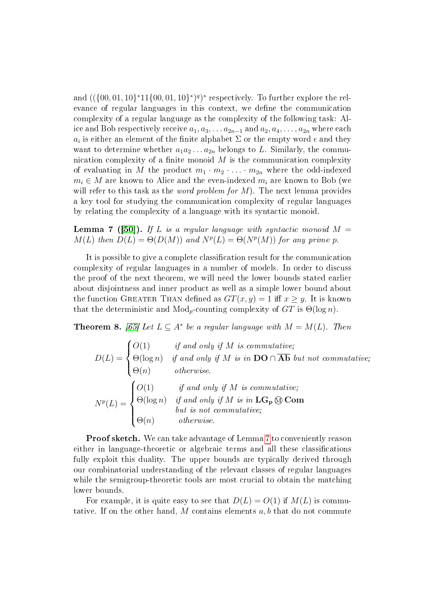and  $((\{00, 01, 10\}^*11\{00, 01, 10\}^*)^q)^*$  respectively. To further explore the relevance of regular languages in this context, we define the communication complexity of a regular language as the complexity of the following task: Alice and Bob respectively receive  $a_1, a_3, \ldots a_{2n-1}$  and  $a_2, a_4, \ldots, a_{2n}$  where each  $a_i$  is either an element of the finite alphabet  $\Sigma$  or the empty word  $\epsilon$  and they want to determine whether  $a_1a_2 \ldots a_{2n}$  belongs to L. Similarly, the communication complexity of a finite monoid  $M$  is the communication complexity of evaluating in M the product  $m_1 \cdot m_2 \cdot \ldots \cdot m_{2n}$  where the odd-indexed  $m_i \in M$  are known to Alice and the even-indexed  $m_i$  are known to Bob (we will refer to this task as the *word problem for M*). The next lemma provides a key tool for studying the communication complexity of regular languages by relating the complexity of a language with its syntactic monoid.

<span id="page-9-0"></span>**Lemma 7** ([\[50\]](#page-28-1)). If L is a regular language with syntactic monoid  $M =$  $M(L)$  then  $D(L) = \Theta(D(M))$  and  $N^{p}(L) = \Theta(N^{p}(M))$  for any prime p.

It is possible to give a complete classification result for the communication complexity of regular languages in a number of models. In order to discuss the proof of the next theorem, we will need the lower bounds stated earlier about disjointness and inner product as well as a simple lower bound about the function GREATER THAN defined as  $GT(x, y) = 1$  iff  $x \geq y$ . It is known that the deterministic and  $Mod<sub>p</sub>$ -counting complexity of  $GT$  is  $\Theta(\log n)$ .

<span id="page-9-1"></span>**Theorem 8.** [\[65\]](#page-29-0) Let  $L \subseteq A^*$  be a regular language with  $M = M(L)$ . Then

$$
D(L) = \begin{cases} O(1) & \text{if and only if } M \text{ is commutative;} \\ \Theta(\log n) & \text{if and only if } M \text{ is in } \mathbf{DO} \cap \overline{\mathbf{Ab}} \text{ but not commutative;} \\ \Theta(n) & \text{otherwise.} \end{cases}
$$
\n
$$
N^{p}(L) = \begin{cases} O(1) & \text{if and only if } M \text{ is commutative;} \\ \Theta(\log n) & \text{if and only if } M \text{ is in } \mathbf{LG}_{\mathbf{P}} \text{ @ \mathbf{Com} \\ \Theta(n) & \text{otherwise.} \end{cases}
$$

Proof sketch. We can take advantage of Lemma [7](#page-9-0) to conveniently reason either in language-theoretic or algebraic terms and all these classications fully exploit this duality. The upper bounds are typically derived through our combinatorial understanding of the relevant classes of regular languages while the semigroup-theoretic tools are most crucial to obtain the matching lower bounds.

For example, it is quite easy to see that  $D(L) = O(1)$  if  $M(L)$  is commutative. If on the other hand, M contains elements  $a, b$  that do not commute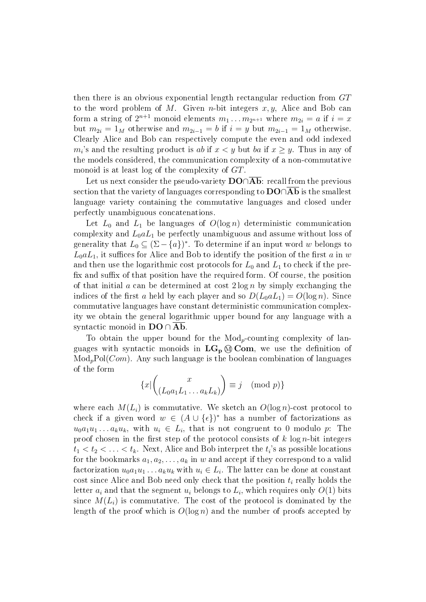then there is an obvious exponential length rectangular reduction from GT to the word problem of M. Given *n*-bit integers  $x, y$ , Alice and Bob can form a string of  $2^{n+1}$  monoid elements  $m_1 \ldots m_{2^{n+1}}$  where  $m_{2i} = a$  if  $i = x$ but  $m_{2i} = 1_M$  otherwise and  $m_{2i-1} = b$  if  $i = y$  but  $m_{2i-1} = 1_M$  otherwise. Clearly Alice and Bob can respectively compute the even and odd indexed  $m_i$ 's and the resulting product is ab if  $x < y$  but ba if  $x \ge y$ . Thus in any of the models considered, the communication complexity of a non-commutative monoid is at least log of the complexity of GT.

Let us next consider the pseudo-variety  $\mathbf{DO} \cap \mathbf{Ab}$ : recall from the previous section that the variety of languages corresponding to **DO**∩**Ab** is the smallest language variety containing the commutative languages and closed under perfectly unambiguous concatenations.

Let  $L_0$  and  $L_1$  be languages of  $O(\log n)$  deterministic communication complexity and  $L_0 a L_1$  be perfectly unambiguous and assume without loss of generality that  $L_0 \subseteq (\Sigma - \{a\})^*$ . To determine if an input word  $w$  belongs to  $L_0 a L_1$ , it suffices for Alice and Bob to identify the position of the first a in w and then use the logarithmic cost protocols for  $L_0$  and  $L_1$  to check if the prefix and suffix of that position have the required form. Of course, the position of that initial a can be determined at cost  $2 \log n$  by simply exchanging the indices of the first a held by each player and so  $D(L_0 a L_1) = O(\log n)$ . Since commutative languages have constant deterministic communication complexity we obtain the general logarithmic upper bound for any language with a syntactic monoid in  $\mathbf{DO} \cap \mathbf{Ab}$ .

To obtain the upper bound for the  $Mod<sub>p</sub>$ -counting complexity of languages with syntactic monoids in  $LG_p \otimes Com$ , we use the definition of  $Mod<sub>p</sub>Pol(Com)$ . Any such language is the boolean combination of languages of the form

$$
\{x \mid \begin{pmatrix} x \\ (L_0 a_1 L_1 \dots a_k L_k) \end{pmatrix} \equiv j \pmod{p} \}
$$

where each  $M(L_i)$  is commutative. We sketch an  $O(\log n)$ -cost protocol to check if a given word  $w \in (A \cup \{\epsilon\})^*$  has a number of factorizations as  $u_0a_1u_1 \ldots a_ku_k$ , with  $u_i \in L_i$ , that is not congruent to 0 modulo p: The proof chosen in the first step of the protocol consists of  $k \log n$ -bit integers  $t_1 < t_2 < \ldots < t_k.$  Next, Alice and Bob interpret the  $t_i$ 's as possible locations for the bookmarks  $a_1, a_2, \ldots, a_k$  in w and accept if they correspond to a valid factorization  $u_0a_1u_1\ldots a_ku_k$  with  $u_i\in L_i$ . The latter can be done at constant cost since Alice and Bob need only check that the position  $t_i$  really holds the letter  $a_i$  and that the segment  $u_i$  belongs to  $L_i$ , which requires only  $O(1)$  bits since  $M(L_i)$  is commutative. The cost of the protocol is dominated by the length of the proof which is  $O(\log n)$  and the number of proofs accepted by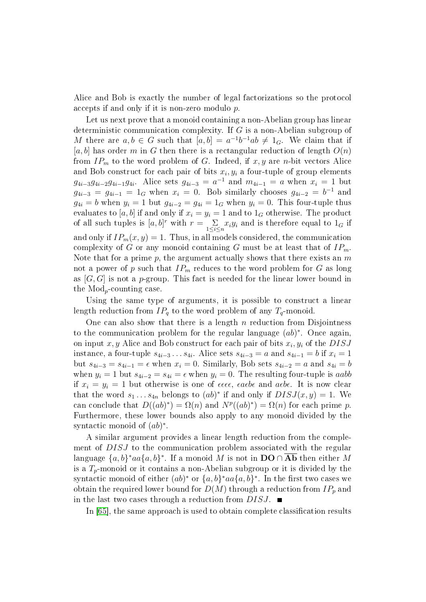Alice and Bob is exactly the number of legal factorizations so the protocol accepts if and only if it is non-zero modulo p.

Let us next prove that a monoid containing a non-Abelian group has linear deterministic communication complexity. If G is a non-Abelian subgroup of M there are  $a, b \in G$  such that  $[a, b] = a^{-1}b^{-1}ab \neq 1_G$ . We claim that if [a, b] has order m in G then there is a rectangular reduction of length  $O(n)$ from  $IP_m$  to the word problem of G. Indeed, if  $x, y$  are n-bit vectors Alice and Bob construct for each pair of bits  $x_i, y_i$  a four-tuple of group elements  $g_{4i-3}g_{4i-2}g_{4i-1}g_{4i}$ . Alice sets  $g_{4i-3} = a^{-1}$  and  $m_{4i-1} = a$  when  $x_i = 1$  but  $g_{4i-3} = g_{4i-1} = 1_G$  when  $x_i = 0$ . Bob similarly chooses  $g_{4i-2} = b^{-1}$  and  $g_{4i} = b$  when  $y_i = 1$  but  $g_{4i-2} = g_{4i} = 1_G$  when  $y_i = 0$ . This four-tuple thus evaluates to [a, b] if and only if  $x_i = y_i = 1$  and to  $1_G$  otherwise. The product of all such tuples is  $[a, b]^r$  with  $r = \sum_{1 \leq i \leq n} x_i y_i$  and is therefore equal to  $1_G$  if and only if  $IP_m(x, y) = 1$ . Thus, in all models considered, the communication complexity of G or any monoid containing G must be at least that of  $IP<sub>m</sub>$ . Note that for a prime  $p$ , the argument actually shows that there exists an  $m$ not a power of p such that  $IP_m$  reduces to the word problem for G as long as  $[G, G]$  is not a p-group. This fact is needed for the linear lower bound in the  $Mod_p$ -counting case.

Using the same type of arguments, it is possible to construct a linear length reduction from  $IP_q$  to the word problem of any  $T_q$ -monoid.

One can also show that there is a length  $n$  reduction from Disjointness to the communication problem for the regular language  $(ab)^*$ . Once again, on input  $x, y$  Alice and Bob construct for each pair of bits  $x_i, y_i$  of the  $DISJ$ instance, a four-tuple  $s_{4i-3} \ldots s_{4i}$ . Alice sets  $s_{4i-3} = a$  and  $s_{4i-1} = b$  if  $x_i = 1$ but  $s_{4i-3} = s_{4i-1} = \epsilon$  when  $x_i = 0$ . Similarly, Bob sets  $s_{4i-2} = a$  and  $s_{4i} = b$ when  $y_i = 1$  but  $s_{4i-2} = s_{4i} = \epsilon$  when  $y_i = 0$ . The resulting four-tuple is aabb if  $x_i = y_i = 1$  but otherwise is one of  $\epsilon \epsilon \epsilon \epsilon$ ,  $\epsilon a \epsilon b \epsilon$  and  $\alpha \epsilon b \epsilon$ . It is now clear that the word  $s_1 \ldots s_{4n}$  belongs to  $(ab)^*$  if and only if  $DISJ(x, y) = 1$ . We can conclude that  $D((ab)^*) = \Omega(n)$  and  $N^p((ab)^*) = \Omega(n)$  for each prime p. Furthermore, these lower bounds also apply to any monoid divided by the syntactic monoid of  $(ab)^*$ .

A similar argument provides a linear length reduction from the complement of DISJ to the communication problem associated with the regular language  $\{a,b\}^*aa\{a,b\}^*$ . If a monoid  $M$  is not in  $\mathbf{DO} \cap \overline{\mathbf{Ab}}$  then either  $M$ is a  $T_p$ -monoid or it contains a non-Abelian subgroup or it is divided by the syntactic monoid of either  $(ab)^*$  or  $\{a,b\}^*aa\{a,b\}^*$ . In the first two cases we obtain the required lower bound for  $D(M)$  through a reduction from  $IP_p$  and in the last two cases through a reduction from DISJ.

In [\[65\]](#page-29-0), the same approach is used to obtain complete classification results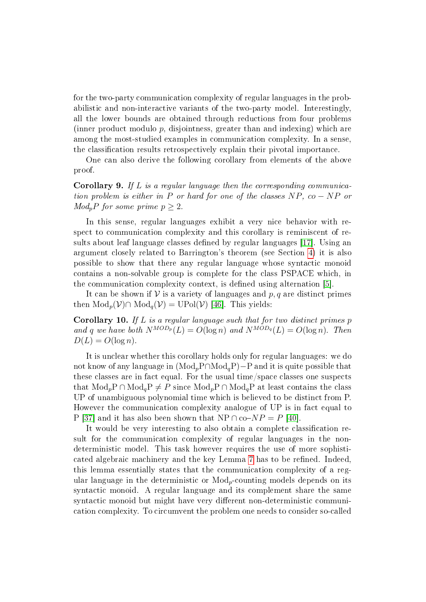for the two-party communication complexity of regular languages in the probabilistic and non-interactive variants of the two-party model. Interestingly, all the lower bounds are obtained through reductions from four problems (inner product modulo  $p$ , disjointness, greater than and indexing) which are among the most-studied examples in communication complexity. In a sense, the classification results retrospectively explain their pivotal importance.

One can also derive the following corollary from elements of the above proof.

**Corollary 9.** If L is a regular language then the corresponding communication problem is either in P or hard for one of the classes  $NP$ ,  $co - NP$  or  $Mod<sub>p</sub>P$  for some prime  $p \geq 2$ .

In this sense, regular languages exhibit a very nice behavior with respect to communication complexity and this corollary is reminiscent of re-sults about leaf language classes defined by regular languages [\[17\]](#page-26-6). Using an argument closely related to Barrington's theorem (see Section [4\)](#page-16-0) it is also possible to show that there any regular language whose syntactic monoid contains a non-solvable group is complete for the class PSPACE which, in the communication complexity context, is defined using alternation [\[5\]](#page-25-5).

It can be shown if  $V$  is a variety of languages and p, q are distinct primes then  $\text{Mod}_p(\mathcal{V}) \cap \text{Mod}_q(\mathcal{V}) = \text{UPol}(\mathcal{V})$  [\[46\]](#page-27-1). This yields:

**Corollary 10.** If  $L$  is a regular language such that for two distinct primes  $p$ and q we have both  $N^{MOD_p}(L) = O(\log n)$  and  $N^{MOD_q}(L) = O(\log n)$ . Then  $D(L) = O(\log n)$ .

It is unclear whether this corollary holds only for regular languages: we do not know of any language in  $(Mod_pP\cap Mod_qP)-P$  and it is quite possible that these classes are in fact equal. For the usual time/space classes one suspects that  $Mod<sub>n</sub>P \cap Mod<sub>a</sub>P \neq P$  since  $Mod<sub>n</sub>P \cap Mod<sub>a</sub>P$  at least contains the class UP of unambiguous polynomial time which is believed to be distinct from P. However the communication complexity analogue of UP is in fact equal to P [\[37\]](#page-27-10) and it has also been shown that NP ∩ co- $NP = P$  [\[40\]](#page-27-7).

It would be very interesting to also obtain a complete classification result for the communication complexity of regular languages in the nondeterministic model. This task however requires the use of more sophisti-cated algebraic machinery and the key Lemma [7](#page-9-0) has to be refined. Indeed, this lemma essentially states that the communication complexity of a regular language in the deterministic or  $Mod<sub>p</sub>$ -counting models depends on its syntactic monoid. A regular language and its complement share the same syntactic monoid but might have very different non-deterministic communication complexity. To circumvent the problem one needs to consider so-called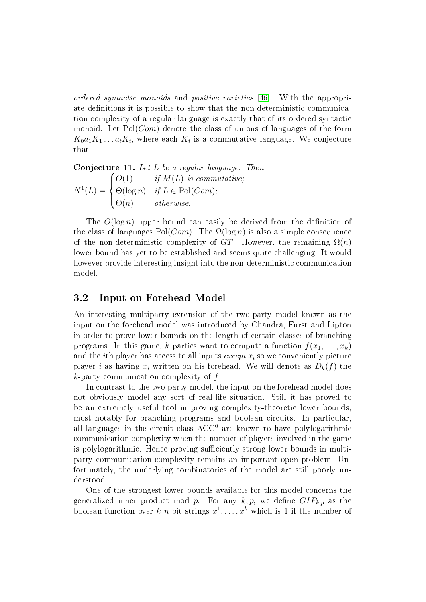ordered syntactic monoids and positive varieties [\[46\]](#page-27-1). With the appropriate definitions it is possible to show that the non-deterministic communication complexity of a regular language is exactly that of its ordered syntactic monoid. Let  $Pol(Com)$  denote the class of unions of languages of the form  $K_0a_1K_1\ldots a_tK_t$ , where each  $K_i$  is a commutative language. We conjecture that

Conjecture 11. Let L be a regular language. Then

$$
N^{1}(L) = \begin{cases} O(1) & \text{if } M(L) \text{ is commutative;} \\ \Theta(\log n) & \text{if } L \in \text{Pol}(Com); \\ \Theta(n) & \text{otherwise.} \end{cases}
$$

The  $O(\log n)$  upper bound can easily be derived from the definition of the class of languages  $Pol(Com)$ . The  $\Omega(\log n)$  is also a simple consequence of the non-deterministic complexity of GT. However, the remaining  $\Omega(n)$ lower bound has yet to be established and seems quite challenging. It would however provide interesting insight into the non-deterministic communication model.

#### 3.2 Input on Forehead Model

An interesting multiparty extension of the two-party model known as the input on the forehead model was introduced by Chandra, Furst and Lipton in order to prove lower bounds on the length of certain classes of branching programs. In this game, k parties want to compute a function  $f(x_1, \ldots, x_k)$ and the *i*th player has access to all inputs *except*  $x_i$  so we conveniently picture player i as having  $x_i$  written on his forehead. We will denote as  $D_k(f)$  the  $k$ -party communication complexity of  $f$ .

In contrast to the two-party model, the input on the forehead model does not obviously model any sort of real-life situation. Still it has proved to be an extremely useful tool in proving complexity-theoretic lower bounds, most notably for branching programs and boolean circuits. In particular, all languages in the circuit class  $ACC^{0}$  are known to have polylogarithmic communication complexity when the number of players involved in the game is polylogarithmic. Hence proving sufficiently strong lower bounds in multiparty communication complexity remains an important open problem. Unfortunately, the underlying combinatorics of the model are still poorly understood.

One of the strongest lower bounds available for this model concerns the generalized inner product mod p. For any  $k, p$ , we define  $GIP_{k,p}$  as the boolean function over k n-bit strings  $x^1, \ldots, x^k$  which is 1 if the number of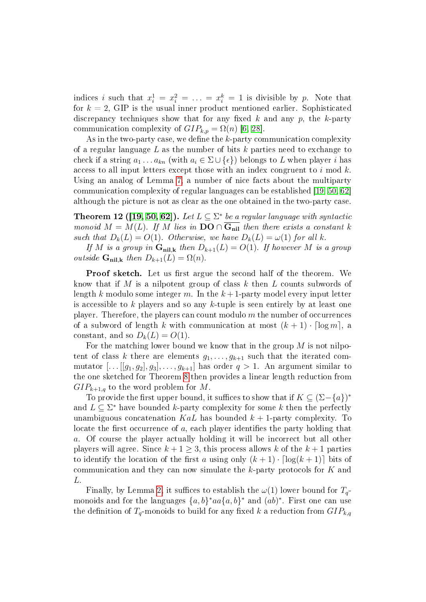indices i such that  $x_i^1 = x_i^2 = \ldots = x_i^k = 1$  is divisible by p. Note that for  $k = 2$ , GIP is the usual inner product mentioned earlier. Sophisticated discrepancy techniques show that for any fixed  $k$  and any  $p$ , the  $k$ -party communication complexity of  $GIP_{k,p} = \Omega(n)$  [\[6,](#page-25-3) [28\]](#page-26-3).

As in the two-party case, we define the  $k$ -party communication complexity of a regular language  $L$  as the number of bits  $k$  parties need to exchange to check if a string  $a_1 \ldots a_{kn}$  (with  $a_i \in \Sigma \cup \{\epsilon\}$ ) belongs to L when player i has access to all input letters except those with an index congruent to i mod  $k$ . Using an analog of Lemma [7,](#page-9-0) a number of nice facts about the multiparty communication complexity of regular languages can be established [\[19,](#page-26-7) [50,](#page-28-1) [62\]](#page-28-12) although the picture is not as clear as the one obtained in the two-party case.

<span id="page-14-0"></span>**Theorem 12 ([\[19,](#page-26-7) [50,](#page-28-1) [62\]](#page-28-12)).** Let  $L \subseteq \Sigma^*$  be a regular language with syntactic monoid  $M = M(L)$ . If M lies in  $\mathbf{DO} \cap \overline{\mathbf{G}_{nil}}$  then there exists a constant k such that  $D_k(L) = O(1)$ . Otherwise, we have  $D_k(L) = \omega(1)$  for all k.

If M is a group in  $\mathbf{G}_{\text{nil},k}$  then  $D_{k+1}(L) = O(1)$ . If however M is a group outside  $\mathbf{G}_{\text{nil},k}$  then  $D_{k+1}(L) = \Omega(n)$ .

**Proof sketch.** Let us first argue the second half of the theorem. We know that if M is a nilpotent group of class k then L counts subwords of length k modulo some integer m. In the  $k+1$ -party model every input letter is accessible to k players and so any k-tuple is seen entirely by at least one player. Therefore, the players can count modulo  $m$  the number of occurrences of a subword of length k with communication at most  $(k + 1) \cdot \lceil \log m \rceil$ , a constant, and so  $D_k(L) = O(1)$ .

For the matching lower bound we know that in the group  $M$  is not nilpotent of class k there are elements  $g_1, \ldots, g_{k+1}$  such that the iterated commutator  $[\dots[[g_1,g_2],g_3],\dots,g_{k+1}]$  has order  $q>1$ . An argument similar to the one sketched for Theorem [8](#page-9-1) then provides a linear length reduction from  $GIP_{k+1,q}$  to the word problem for M.

To provide the first upper bound, it suffices to show that if  $K \subseteq (\Sigma - \{a\})^*$ and  $L \subseteq \Sigma^*$  have bounded k-party complexity for some k then the perfectly unambiguous concatenation KaL has bounded  $k + 1$ -party complexity. To locate the first occurrence of  $a$ , each player identifies the party holding that a. Of course the player actually holding it will be incorrect but all other players will agree. Since  $k + 1 \geq 3$ , this process allows k of the  $k + 1$  parties to identify the location of the first a using only  $(k + 1) \cdot \lceil \log(k + 1) \rceil$  bits of communication and they can now simulate the k-party protocols for K and L.

Finally, by Lemma [2,](#page-5-0) it suffices to establish the  $\omega(1)$  lower bound for  $T_q$ monoids and for the languages  $\{a, b\}^* aa \{a, b\}^*$  and  $(ab)^*$ . First one can use the definition of  $T_q$ -monoids to build for any fixed k a reduction from  $GIP_{k,q}$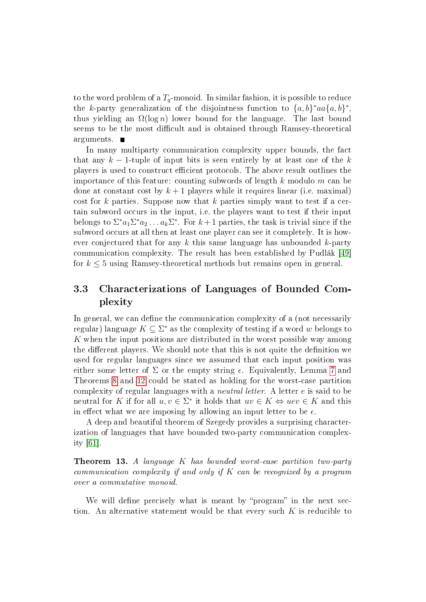to the word problem of a  $T_q$ -monoid. In similar fashion, it is possible to reduce the k-party generalization of the disjointness function to  $\{a,b\}^*aa\{a,b\}^*$ , thus yielding an  $\Omega(\log n)$  lower bound for the language. The last bound seems to be the most difficult and is obtained through Ramsey-theoretical arguments.  $\blacksquare$ 

In many multiparty communication complexity upper bounds, the fact that any  $k-1$ -tuple of input bits is seen entirely by at least one of the k players is used to construct ecient protocols. The above result outlines the importance of this feature: counting subwords of length k modulo m can be done at constant cost by  $k+1$  players while it requires linear (i.e. maximal) cost for k parties. Suppose now that k parties simply want to test if a certain subword occurs in the input, i.e. the players want to test if their input belongs to  $\Sigma^* a_1 \Sigma^* a_2 \ldots a_k \Sigma^*$ . For  $k+1$  parties, the task is trivial since if the subword occurs at all then at least one player can see it completely. It is however conjectured that for any  $k$  this same language has unbounded  $k$ -party communication complexity. The result has been established by Pudlák [\[49\]](#page-28-13) for  $k \leq 5$  using Ramsey-theoretical methods but remains open in general.

### 3.3 Characterizations of Languages of Bounded Complexity

In general, we can define the communication complexity of a (not necessarily regular) language  $K \subseteq \Sigma^*$  as the complexity of testing if a word w belongs to K when the input positions are distributed in the worst possible way among the different players. We should note that this is not quite the definition we used for regular languages since we assumed that each input position was either some letter of  $\Sigma$  or the empty string  $\epsilon$ . Equivalently, Lemma [7](#page-9-0) and Theorems [8](#page-9-1) and [12](#page-14-0) could be stated as holding for the worst-case partition complexity of regular languages with a neutral letter. A letter e is said to be neutral for K if for all  $u, v \in \Sigma^*$  it holds that  $uv \in K \Leftrightarrow uev \in K$  and this in effect what we are imposing by allowing an input letter to be  $\epsilon$ .

A deep and beautiful theorem of Szegedy provides a surprising characterization of languages that have bounded two-party communication complexity [\[61\]](#page-28-14).

<span id="page-15-0"></span>**Theorem 13.** A language K has bounded worst-case partition two-party communication complexity if and only if  $K$  can be recognized by a program over a commutative monoid.

We will define precisely what is meant by "program" in the next section. An alternative statement would be that every such  $K$  is reducible to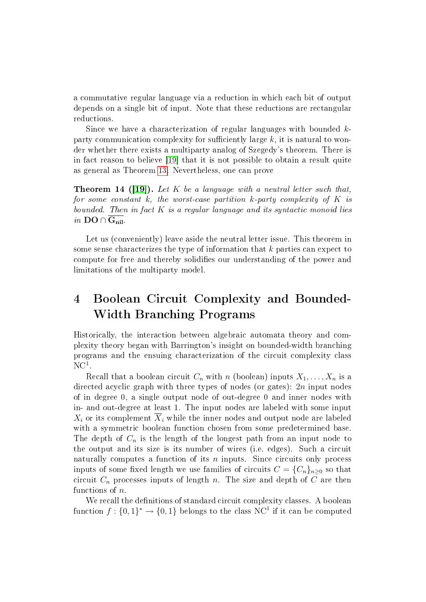a commutative regular language via a reduction in which each bit of output depends on a single bit of input. Note that these reductions are rectangular reductions.

Since we have a characterization of regular languages with bounded  $k$ party communication complexity for sufficiently large  $k$ , it is natural to wonder whether there exists a multiparty analog of Szegedy's theorem. There is in fact reason to believe [\[19\]](#page-26-7) that it is not possible to obtain a result quite as general as Theorem [13.](#page-15-0) Nevertheless, one can prove

**Theorem 14 ([\[19\]](#page-26-7)).** Let K be a language with a neutral letter such that, for some constant  $k$ , the worst-case partition  $k$ -party complexity of  $K$  is bounded. Then in fact  $K$  is a regular language and its syntactic monoid lies in  $DO \cap G_{nil}$ .

Let us (conveniently) leave aside the neutral letter issue. This theorem in some sense characterizes the type of information that k parties can expect to compute for free and thereby solidifies our understanding of the power and limitations of the multiparty model.

# <span id="page-16-0"></span>4 Boolean Circuit Complexity and Bounded-Width Branching Programs

Historically, the interaction between algebraic automata theory and complexity theory began with Barrington's insight on bounded-width branching programs and the ensuing characterization of the circuit complexity class  $\mathrm{NC}^1.$ 

Recall that a boolean circuit  $C_n$  with n (boolean) inputs  $X_1, \ldots, X_n$  is a directed acyclic graph with three types of nodes (or gates): 2n input nodes of in degree 0, a single output node of out-degree 0 and inner nodes with in- and out-degree at least 1. The input nodes are labeled with some input  $X_i$  or its complement  $\overline{X}_i$  while the inner nodes and output node are labeled with a symmetric boolean function chosen from some predetermined base. The depth of  $C_n$  is the length of the longest path from an input node to the output and its size is its number of wires (i.e. edges). Such a circuit naturally computes a function of its  $n$  inputs. Since circuits only process inputs of some fixed length we use families of circuits  $C = \{C_n\}_{n>0}$  so that circuit  $C_n$  processes inputs of length n. The size and depth of C are then functions of n.

We recall the definitions of standard circuit complexity classes. A boolean function  $f: \{0,1\}^* \to \{0,1\}$  belongs to the class NC<sup>1</sup> if it can be computed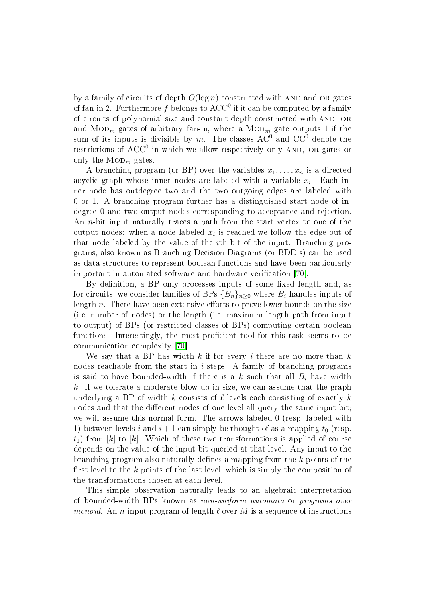by a family of circuits of depth  $O(\log n)$  constructed with AND and OR gates of fan-in 2. Furthermore  $f$  belongs to  $\mathrm{ACC}^0$  if it can be computed by a family of circuits of polynomial size and constant depth constructed with AND, OR and  $\mathrm{MOD}_m$  gates of arbitrary fan-in, where a  $\mathrm{MOD}_m$  gate outputs  $1$  if the sum of its inputs is divisible by m. The classes  $AC^0$  and  $CC^0$  denote the restrictions of  $\mathrm{ACC}^0$  in which we allow respectively only AND, OR gates or only the  $\text{MOD}_m$  gates.

A branching program (or BP) over the variables  $x_1, \ldots, x_n$  is a directed acyclic graph whose inner nodes are labeled with a variable  $x_i$ . Each inner node has outdegree two and the two outgoing edges are labeled with 0 or 1. A branching program further has a distinguished start node of indegree 0 and two output nodes corresponding to acceptance and rejection. An *n*-bit input naturally traces a path from the start vertex to one of the output nodes: when a node labeled  $x_i$  is reached we follow the edge out of that node labeled by the value of the *i*th bit of the input. Branching programs, also known as Branching Decision Diagrams (or BDD's) can be used as data structures to represent boolean functions and have been particularly important in automated software and hardware verification [\[70\]](#page-29-7).

By definition, a BP only processes inputs of some fixed length and, as for circuits, we consider families of BPs  ${B_n}_{n>0}$  where  $B_i$  handles inputs of length  $n$ . There have been extensive efforts to prove lower bounds on the size (i.e. number of nodes) or the length (i.e. maximum length path from input to output) of BPs (or restricted classes of BPs) computing certain boolean functions. Interestingly, the most proficient tool for this task seems to be communication complexity [\[70\]](#page-29-7).

We say that a BP has width k if for every i there are no more than  $k$ nodes reachable from the start in i steps. A family of branching programs is said to have bounded-width if there is a k such that all  $B_i$  have width k. If we tolerate a moderate blow-up in size, we can assume that the graph underlying a BP of width k consists of  $\ell$  levels each consisting of exactly k nodes and that the different nodes of one level all query the same input bit; we will assume this normal form. The arrows labeled 0 (resp. labeled with 1) between levels i and  $i+1$  can simply be thought of as a mapping  $t_0$  (resp.  $t_1$ ) from [k] to [k]. Which of these two transformations is applied of course depends on the value of the input bit queried at that level. Any input to the branching program also naturally defines a mapping from the  $k$  points of the first level to the  $k$  points of the last level, which is simply the composition of the transformations chosen at each level.

This simple observation naturally leads to an algebraic interpretation of bounded-width BPs known as non-uniform automata or programs over *monoid.* An *n*-input program of length  $\ell$  over M is a sequence of instructions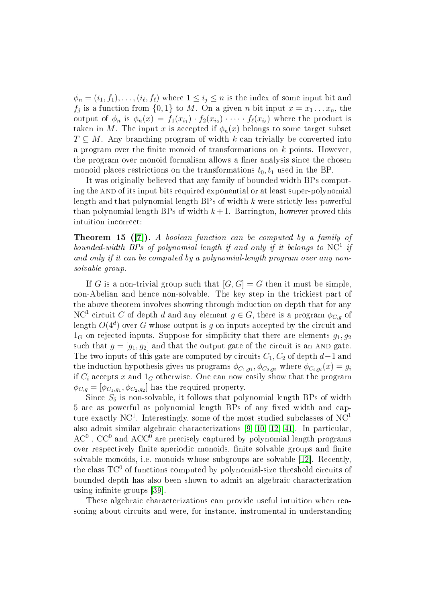$\phi_n = (i_1, f_1), \ldots, (i_\ell, f_\ell)$  where  $1 \leq i_j \leq n$  is the index of some input bit and  $f_j$  is a function from  $\{0,1\}$  to M. On a given n-bit input  $x = x_1 \dots x_n$ , the output of  $\phi_n$  is  $\phi_n(x) = f_1(x_{i_1}) \cdot f_2(x_{i_2}) \cdot \cdots \cdot f_\ell(x_{i_\ell})$  where the product is taken in M. The input x is accepted if  $\phi_n(x)$  belongs to some target subset  $T \subseteq M$ . Any branching program of width k can trivially be converted into a program over the finite monoid of transformations on  $k$  points. However, the program over monoid formalism allows a finer analysis since the chosen monoid places restrictions on the transformations  $t_0, t_1$  used in the BP.

It was originally believed that any family of bounded width BPs computing the AND of its input bits required exponential or at least super-polynomial length and that polynomial length BPs of width  $k$  were strictly less powerful than polynomial length BPs of width  $k+1$ . Barrington, however proved this intuition incorrect:

Theorem 15 ([\[7\]](#page-25-6)). A boolean function can be computed by a family of bounded-width BPs of polynomial length if and only if it belongs to  $\mathrm{NC}^1$  if and only if it can be computed by a polynomial-length program over any nonsolvable group.

If G is a non-trivial group such that  $[G, G] = G$  then it must be simple, non-Abelian and hence non-solvable. The key step in the trickiest part of the above theorem involves showing through induction on depth that for any NC<sup>1</sup> circuit C of depth d and any element  $g \in G$ , there is a program  $\phi_{C,g}$  of length  $O(4^d)$  over  $G$  whose output is  $g$  on inputs accepted by the circuit and  $1_G$  on rejected inputs. Suppose for simplicity that there are elements  $q_1, q_2$ such that  $g = [g_1, g_2]$  and that the output gate of the circuit is an AND gate. The two inputs of this gate are computed by circuits  $C_1, C_2$  of depth  $d-1$  and the induction hypothesis gives us programs  $\phi_{C_1,g_1}, \phi_{C_2,g_2}$  where  $\phi_{C_i,g_i}(x) = g_i$ if  $C_i$  accepts x and  $1_G$  otherwise. One can now easily show that the program  $\phi_{C,g} = [\phi_{C_1,g_1}, \phi_{C_2,g_2}]$  has the required property.

Since  $S_5$  is non-solvable, it follows that polynomial length BPs of width 5 are as powerful as polynomial length BPs of any fixed width and capture exactly NC<sup>1</sup>. Interestingly, some of the most studied subclasses of NC<sup>1</sup> also admit similar algebraic characterizations [\[9,](#page-25-7) [10,](#page-25-8) [12,](#page-25-1) [41\]](#page-27-11). In particular,  $\rm AC^{0}$  ,  $\rm CC^{0}$  and  $\rm ACC^{0}$  are precisely captured by polynomial length programs over respectively finite aperiodic monoids, finite solvable groups and finite solvable monoids, i.e. monoids whose subgroups are solvable [\[12\]](#page-25-1). Recently, the class  $TC^0$  of functions computed by polynomial-size threshold circuits of bounded depth has also been shown to admit an algebraic characterization using infinite groups [\[39\]](#page-27-12).

These algebraic characterizations can provide useful intuition when reasoning about circuits and were, for instance, instrumental in understanding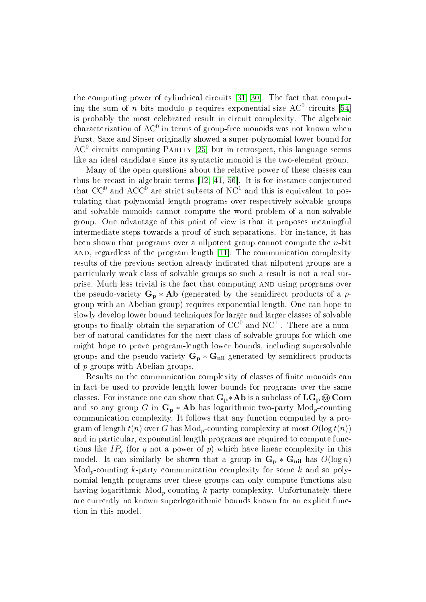the computing power of cylindrical circuits [\[31,](#page-26-8) [30\]](#page-26-9). The fact that computing the sum of  $n$  bits modulo  $p$  requires exponential-size  $\rm AC^0$  circuits [\[54\]](#page-28-15) is probably the most celebrated result in circuit complexity. The algebraic characterization of AC $^{\rm 0}$  in terms of group-free monoids was not known when Furst, Saxe and Sipser originally showed a super-polynomial lower bound for  $AC<sup>0</sup>$  circuits computing PARITY [\[25\]](#page-26-10) but in retrospect, this language seems like an ideal candidate since its syntactic monoid is the two-element group.

Many of the open questions about the relative power of these classes can thus be recast in algebraic terms [\[12,](#page-25-1) [41,](#page-27-11) [56\]](#page-28-16). It is for instance conjectured that  $CC^0$  and  $ACC^0$  are strict subsets of  $NC^1$  and this is equivalent to postulating that polynomial length programs over respectively solvable groups and solvable monoids cannot compute the word problem of a non-solvable group. One advantage of this point of view is that it proposes meaningful intermediate steps towards a proof of such separations. For instance, it has been shown that programs over a nilpotent group cannot compute the n-bit and, regardless of the program length [\[11\]](#page-25-9). The communication complexity results of the previous section already indicated that nilpotent groups are a particularly weak class of solvable groups so such a result is not a real surprise. Much less trivial is the fact that computing AND using programs over the pseudo-variety  $G_p * Ab$  (generated by the semidirect products of a pgroup with an Abelian group) requires exponential length. One can hope to slowly develop lower bound techniques for larger and larger classes of solvable groups to finally obtain the separation of  $\mathrm{CC}^{0}$  and  $\mathrm{NC}^{1}$  . There are a number of natural candidates for the next class of solvable groups for which one might hope to prove program-length lower bounds, including supersolvable groups and the pseudo-variety  $G_p * G_{nil}$  generated by semidirect products of p-groups with Abelian groups.

Results on the communication complexity of classes of finite monoids can in fact be used to provide length lower bounds for programs over the same classes. For instance one can show that  $G_p * Ab$  is a subclass of  $LG_p \otimes Com$ and so any group G in  $\mathbf{G_p}*\mathbf{Ab}$  has logarithmic two-party  $\text{Mod}_p$ -counting communication complexity. It follows that any function computed by a program of length  $t(n)$  over G has  $Mod<sub>n</sub>$ -counting complexity at most  $O(log t(n))$ and in particular, exponential length programs are required to compute functions like  $IP<sub>q</sub>$  (for q not a power of p) which have linear complexity in this model. It can similarly be shown that a group in  $\mathbf{G}_{\mathbf{p}} * \mathbf{G}_{\mathbf{nil}}$  has  $O(\log n)$  $Mod_p$ -counting k-party communication complexity for some k and so polynomial length programs over these groups can only compute functions also having logarithmic  $Mod<sub>p</sub>$ -counting k-party complexity. Unfortunately there are currently no known superlogarithmic bounds known for an explicit function in this model.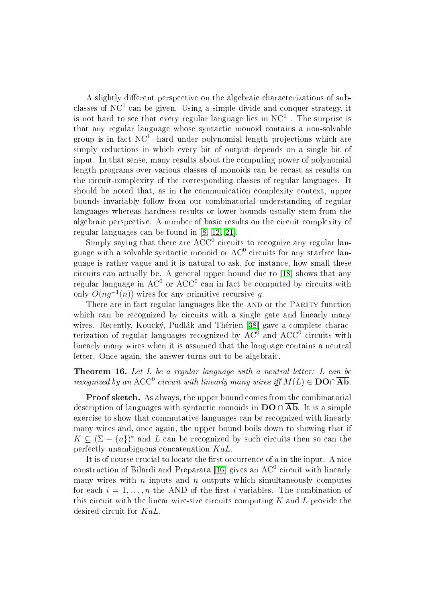A slightly different perspective on the algebraic characterizations of subclasses of NC<sup>1</sup> can be given. Using a simple divide and conquer strategy, it is not hard to see that every regular language lies in  $\mathrm{NC}^1$  . The surprise is that any regular language whose syntactic monoid contains a non-solvable group is in fact  $\rm NC^1$  -hard under polynomial length projections which are simply reductions in which every bit of output depends on a single bit of input. In that sense, many results about the computing power of polynomial length programs over various classes of monoids can be recast as results on the circuit-complexity of the corresponding classes of regular languages. It should be noted that, as in the communication complexity context, upper bounds invariably follow from our combinatorial understanding of regular languages whereas hardness results or lower bounds usually stem from the algebraic perspective. A number of basic results on the circuit complexity of regular languages can be found in [\[8,](#page-25-10) [12,](#page-25-1) [21\]](#page-26-11).

Simply saying that there are  $ACC^{0}$  circuits to recognize any regular language with a solvable syntactic monoid or  $\mathrm{AC}^0$  circuits for any starfree language is rather vague and it is natural to ask, for instance, how small these circuits can actually be. A general upper bound due to [\[18\]](#page-26-12) shows that any regular language in  $\rm AC^{0}$  or  $\rm ACC^{0}$  can in fact be computed by circuits with only  $O(ng^{-1}(n))$  wires for any primitive recursive g.

There are in fact regular languages like the AND or the PARITY function which can be recognized by circuits with a single gate and linearly many wires. Recently, Koucký, Pudlák and Thérien [\[38\]](#page-27-2) gave a complete characterization of regular languages recognized by  $\mathrm{AC}0^0$  and  $\mathrm{ACC}^0$  circuits with linearly many wires when it is assumed that the language contains a neutral letter. Once again, the answer turns out to be algebraic.

Theorem 16. Let L be a regular language with a neutral letter: L can be recognized by an ACC<sup>0</sup> circuit with linearly many wires iff  $M(L) \in \mathbf{DO} \cap \overline{\mathbf{Ab}}$ .

Proof sketch. As always, the upper bound comes from the combinatorial description of languages with syntactic monoids in  $\mathbf{DO} \cap \mathbf{Ab}$ . It is a simple exercise to show that commutative languages can be recognized with linearly many wires and, once again, the upper bound boils down to showing that if  $K \subseteq (\Sigma - \{a\})^*$  and L can be recognized by such circuits then so can the perfectly unambiguous concatenation KaL.

It is of course crucial to locate the first occurrence of  $a$  in the input. A nice construction of Bilardi and Preparata [\[16\]](#page-26-13) gives an  $\mathrm{AC}^0$  circuit with linearly many wires with  $n$  inputs and  $n$  outputs which simultaneously computes for each  $i = 1, \ldots, n$  the AND of the first i variables. The combination of this circuit with the linear wire-size circuits computing  $K$  and  $L$  provide the desired circuit for KaL.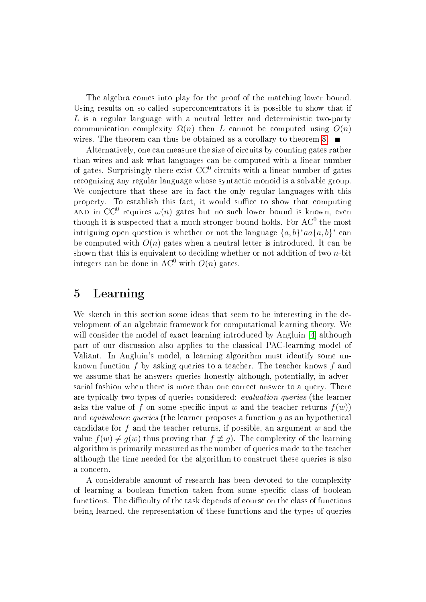The algebra comes into play for the proof of the matching lower bound. Using results on so-called superconcentrators it is possible to show that if L is a regular language with a neutral letter and deterministic two-party communication complexity  $\Omega(n)$  then L cannot be computed using  $O(n)$ wires. The theorem can thus be obtained as a corollary to theorem [8.](#page-9-1)

Alternatively, one can measure the size of circuits by counting gates rather than wires and ask what languages can be computed with a linear number of gates. Surprisingly there exist  $\rm CC^{0}$  circuits with a linear number of gates recognizing any regular language whose syntactic monoid is a solvable group. We conjecture that these are in fact the only regular languages with this property. To establish this fact, it would suffice to show that computing AND in  $CC^0$  requires  $\omega(n)$  gates but no such lower bound is known, even though it is suspected that a much stronger bound holds. For  $\mathrm{AC}^0$  the most intriguing open question is whether or not the language  $\{a, b\}^*aa\{a, b\}^*$  can be computed with  $O(n)$  gates when a neutral letter is introduced. It can be shown that this is equivalent to deciding whether or not addition of two  $n$ -bit integers can be done in AC<sup>0</sup> with  $O(n)$  gates.

### 5 Learning

We sketch in this section some ideas that seem to be interesting in the development of an algebraic framework for computational learning theory. We will consider the model of exact learning introduced by Angluin [\[4\]](#page-25-11) although part of our discussion also applies to the classical PAC-learning model of Valiant. In Angluin's model, a learning algorithm must identify some unknown function f by asking queries to a teacher. The teacher knows f and we assume that he answers queries honestly although, potentially, in adversarial fashion when there is more than one correct answer to a query. There are typically two types of queries considered: evaluation queries (the learner asks the value of f on some specific input w and the teacher returns  $f(w)$ and equivalence queries (the learner proposes a function g as an hypothetical candidate for  $f$  and the teacher returns, if possible, an argument  $w$  and the value  $f(w) \neq q(w)$  thus proving that  $f \not\equiv q$ . The complexity of the learning algorithm is primarily measured as the number of queries made to the teacher although the time needed for the algorithm to construct these queries is also a concern.

A considerable amount of research has been devoted to the complexity of learning a boolean function taken from some specific class of boolean functions. The difficulty of the task depends of course on the class of functions being learned, the representation of these functions and the types of queries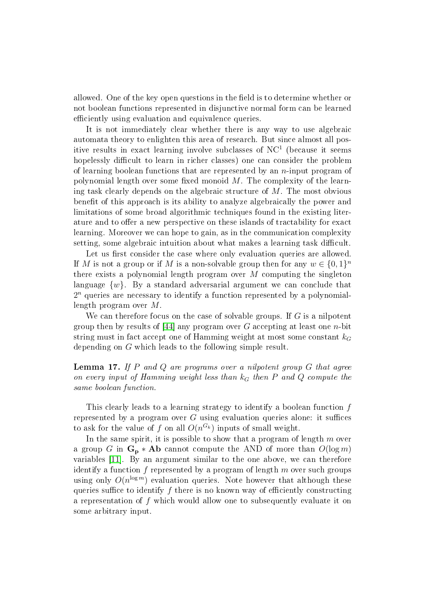allowed. One of the key open questions in the field is to determine whether or not boolean functions represented in disjunctive normal form can be learned efficiently using evaluation and equivalence queries.

It is not immediately clear whether there is any way to use algebraic automata theory to enlighten this area of research. But since almost all positive results in exact learning involve subclasses of  $NC<sup>1</sup>$  (because it seems hopelessly difficult to learn in richer classes) one can consider the problem of learning boolean functions that are represented by an  $n$ -input program of polynomial length over some fixed monoid  $M$ . The complexity of the learning task clearly depends on the algebraic structure of M. The most obvious benefit of this approach is its ability to analyze algebraically the power and limitations of some broad algorithmic techniques found in the existing literature and to offer a new perspective on these islands of tractability for exact learning. Moreover we can hope to gain, as in the communication complexity setting, some algebraic intuition about what makes a learning task difficult.

Let us first consider the case where only evaluation queries are allowed. If M is not a group or if M is a non-solvable group then for any  $w \in \{0,1\}^n$ there exists a polynomial length program over  $M$  computing the singleton language  $\{w\}$ . By a standard adversarial argument we can conclude that 2 <sup>n</sup> queries are necessary to identify a function represented by a polynomiallength program over M.

We can therefore focus on the case of solvable groups. If  $G$  is a nilpotent group then by results of  $[44]$  any program over G accepting at least one *n*-bit string must in fact accept one of Hamming weight at most some constant  $k_G$ depending on G which leads to the following simple result.

#### **Lemma 17.** If P and Q are programs over a nilpotent group  $G$  that agree on every input of Hamming weight less than  $k_G$  then P and Q compute the same boolean function.

This clearly leads to a learning strategy to identify a boolean function  $f$ represented by a program over  $G$  using evaluation queries alone: it suffices to ask for the value of  $f$  on all  $O(n^{G_k})$  inputs of small weight.

In the same spirit, it is possible to show that a program of length  $m$  over a group G in  $\mathbf{G_p} * \mathbf{Ab}$  cannot compute the AND of more than  $O(\log m)$ variables [\[11\]](#page-25-9). By an argument similar to the one above, we can therefore identify a function f represented by a program of length  $m$  over such groups using only  $O(n^{\log m})$  evaluation queries. Note however that although these queries suffice to identify  $f$  there is no known way of efficiently constructing a representation of f which would allow one to subsequently evaluate it on some arbitrary input.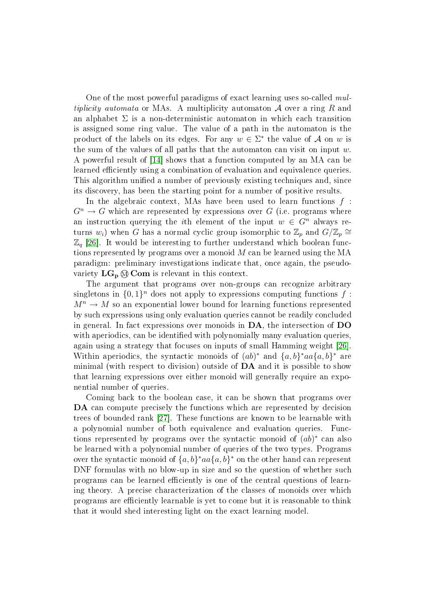One of the most powerful paradigms of exact learning uses so-called multiplicity automata or MAs. A multiplicity automaton  $A$  over a ring R and an alphabet  $\Sigma$  is a non-deterministic automaton in which each transition is assigned some ring value. The value of a path in the automaton is the product of the labels on its edges. For any  $w \in \Sigma^*$  the value of A on w is the sum of the values of all paths that the automaton can visit on input  $w$ . A powerful result of [\[14\]](#page-25-12) shows that a function computed by an MA can be learned efficiently using a combination of evaluation and equivalence queries. This algorithm unified a number of previously existing techniques and, since its discovery, has been the starting point for a number of positive results.

In the algebraic context, MAs have been used to learn functions  $f$ :  $G^n \to G$  which are represented by expressions over G (i.e. programs where an instruction querying the *i*th element of the input  $w \in G^n$  always returns  $w_i$ ) when G has a normal cyclic group isomorphic to  $\mathbb{Z}_p$  and  $G/\mathbb{Z}_p \cong$  $\mathbb{Z}_q$  [\[26\]](#page-26-14). It would be interesting to further understand which boolean functions represented by programs over a monoid M can be learned using the MA paradigm: preliminary investigations indicate that, once again, the pseudovariety  $LG_p \otimes \text{Com}$  is relevant in this context.

The argument that programs over non-groups can recognize arbitrary singletons in  $\{0,1\}^n$  does not apply to expressions computing functions f:  $M^n \to M$  so an exponential lower bound for learning functions represented by such expressions using only evaluation queries cannot be readily concluded in general. In fact expressions over monoids in DA, the intersection of DO with aperiodics, can be identified with polynomially many evaluation queries. again using a strategy that focuses on inputs of small Hamming weight [\[26\]](#page-26-14). Within aperiodics, the syntactic monoids of  $(ab)^*$  and  $\{a,b\}^*$  are minimal (with respect to division) outside of  $\mathbf{DA}$  and it is possible to show that learning expressions over either monoid will generally require an exponential number of queries.

Coming back to the boolean case, it can be shown that programs over DA can compute precisely the functions which are represented by decision trees of bounded rank [\[27\]](#page-26-15). These functions are known to be learnable with a polynomial number of both equivalence and evaluation queries. Functions represented by programs over the syntactic monoid of  $(ab)^*$  can also be learned with a polynomial number of queries of the two types. Programs over the syntactic monoid of  $\{a, b\}^* aa \{a, b\}^*$  on the other hand can represent DNF formulas with no blow-up in size and so the question of whether such programs can be learned efficiently is one of the central questions of learning theory. A precise characterization of the classes of monoids over which programs are efficiently learnable is yet to come but it is reasonable to think that it would shed interesting light on the exact learning model.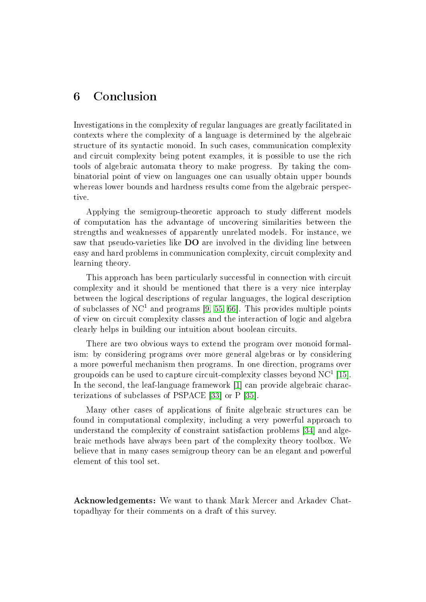# 6 Conclusion

Investigations in the complexity of regular languages are greatly facilitated in contexts where the complexity of a language is determined by the algebraic structure of its syntactic monoid. In such cases, communication complexity and circuit complexity being potent examples, it is possible to use the rich tools of algebraic automata theory to make progress. By taking the combinatorial point of view on languages one can usually obtain upper bounds whereas lower bounds and hardness results come from the algebraic perspective.

Applying the semigroup-theoretic approach to study different models of computation has the advantage of uncovering similarities between the strengths and weaknesses of apparently unrelated models. For instance, we saw that pseudo-varieties like DO are involved in the dividing line between easy and hard problems in communication complexity, circuit complexity and learning theory.

This approach has been particularly successful in connection with circuit complexity and it should be mentioned that there is a very nice interplay between the logical descriptions of regular languages, the logical description of subclasses of NC<sup>1</sup> and programs [\[9,](#page-25-7) [55,](#page-28-5) [66\]](#page-29-1). This provides multiple points of view on circuit complexity classes and the interaction of logic and algebra clearly helps in building our intuition about boolean circuits.

There are two obvious ways to extend the program over monoid formalism: by considering programs over more general algebras or by considering a more powerful mechanism then programs. In one direction, programs over groupoids can be used to capture circuit-complexity classes beyond NC<sup>1</sup> [\[15\]](#page-25-13). In the second, the leaf-language framework [\[1\]](#page-25-14) can provide algebraic characterizations of subclasses of PSPACE [\[33\]](#page-27-3) or P [\[35\]](#page-27-14).

Many other cases of applications of nite algebraic structures can be found in computational complexity, including a very powerful approach to understand the complexity of constraint satisfaction problems [\[34\]](#page-27-15) and algebraic methods have always been part of the complexity theory toolbox. We believe that in many cases semigroup theory can be an elegant and powerful element of this tool set.

Acknowledgements: We want to thank Mark Mercer and Arkadev Chattopadhyay for their comments on a draft of this survey.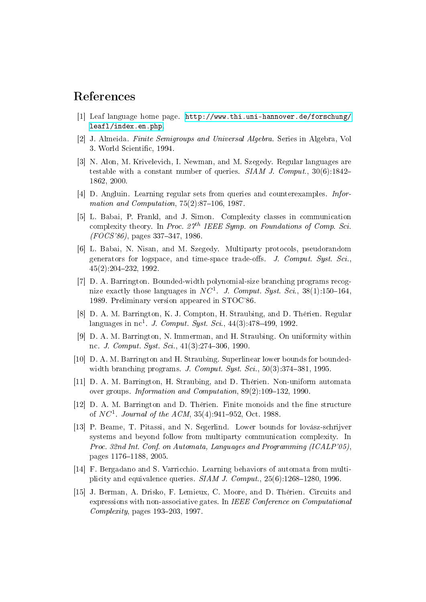# References

- <span id="page-25-14"></span>[1] Leaf language home page. [http://www.thi.uni-hannover.de/forschung/](http://www.thi.uni-hannover.de/forschung/leafl/index.en.php) [leafl/index.en.php.](http://www.thi.uni-hannover.de/forschung/leafl/index.en.php)
- <span id="page-25-0"></span>[2] J. Almeida. Finite Semigroups and Universal Algebra. Series in Algebra, Vol 3. World Scientic, 1994.
- <span id="page-25-2"></span>[3] N. Alon, M. Krivelevich, I. Newman, and M. Szegedy. Regular languages are testable with a constant number of queries.  $SIAM$  J. Comput.,  $30(6):1842-$ 1862, 2000.
- <span id="page-25-11"></span>[4] D. Angluin. Learning regular sets from queries and counterexamples. Information and Computation,  $75(2)$ :87-106, 1987.
- <span id="page-25-5"></span>[5] L. Babai, P. Frankl, and J. Simon. Complexity classes in communication complexity theory. In Proc.  $27<sup>th</sup> IEEE Symp.$  on Foundations of Comp. Sci.  $(FOCS'86)$ , pages 337-347, 1986.
- <span id="page-25-3"></span>[6] L. Babai, N. Nisan, and M. Szegedy. Multiparty protocols, pseudorandom generators for logspace, and time-space trade-offs. J. Comput. Syst. Sci., 45(2):204232, 1992.
- <span id="page-25-6"></span>[7] D. A. Barrington. Bounded-width polynomial-size branching programs recognize exactly those languages in NC<sup>1</sup>. J. Comput. Syst. Sci., 38(1):150-164, 1989. Preliminary version appeared in STOC'86.
- <span id="page-25-10"></span>[8] D. A. M. Barrington, K. J. Compton, H. Straubing, and D. Thérien. Regular languages in nc<sup>1</sup>. *J. Comput. Syst. Sci.*,  $44(3):478-499, 1992$ .
- <span id="page-25-7"></span>[9] D. A. M. Barrington, N. Immerman, and H. Straubing. On uniformity within nc. *J. Comput. Syst. Sci.*, 41(3):274-306, 1990.
- <span id="page-25-8"></span>[10] D. A. M. Barrington and H. Straubing. Superlinear lower bounds for boundedwidth branching programs. J. Comput. Syst. Sci.,  $50(3):374-381$ , 1995.
- <span id="page-25-9"></span>[11] D. A. M. Barrington, H. Straubing, and D. Thérien. Non-uniform automata over groups. Information and Computation,  $89(2)$ :109-132, 1990.
- <span id="page-25-1"></span>[12] D. A. M. Barrington and D. Thérien. Finite monoids and the fine structure of  $NC^1$ . Journal of the ACM, 35(4):941-952, Oct. 1988.
- <span id="page-25-4"></span>[13] P. Beame, T. Pitassi, and N. Segerlind. Lower bounds for lovász-schrijver systems and beyond follow from multiparty communication complexity. In Proc. 32nd Int. Conf. on Automata, Languages and Programming (ICALP'05), pages 1176-1188, 2005.
- <span id="page-25-12"></span>[14] F. Bergadano and S. Varricchio. Learning behaviors of automata from multiplicity and equivalence queries.  $SIAM J. Comput.$ ,  $25(6):1268-1280, 1996$ .
- <span id="page-25-13"></span>[15] J. Berman, A. Drisko, F. Lemieux, C. Moore, and D. Thérien. Circuits and expressions with non-associative gates. In IEEE Conference on Computational Complexity, pages  $193-203$ , 1997.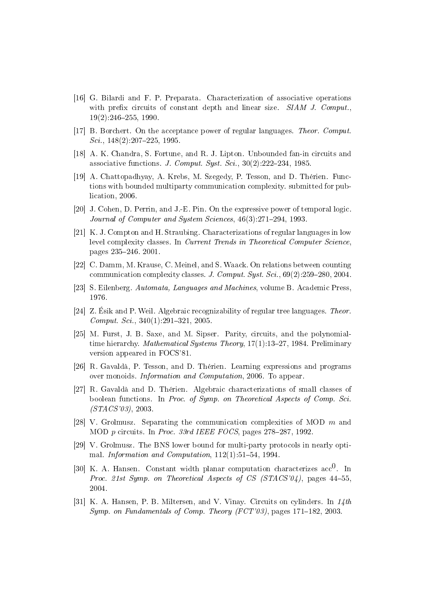- <span id="page-26-13"></span>[16] G. Bilardi and F. P. Preparata. Characterization of associative operations with prefix circuits of constant depth and linear size.  $SIAM$  J. Comput.  $19(2):246-255$ , 1990.
- <span id="page-26-6"></span>[17] B. Borchert. On the acceptance power of regular languages. Theor. Comput.  $Sci.$ , 148(2):207–225, 1995.
- <span id="page-26-12"></span>[18] A. K. Chandra, S. Fortune, and R. J. Lipton. Unbounded fan-in circuits and associative functions. J. Comput. Syst. Sci.,  $30(2):222-234$ , 1985.
- <span id="page-26-7"></span>[19] A. Chattopadhyay, A. Krebs, M. Szegedy, P. Tesson, and D. Thérien. Functions with bounded multiparty communication complexity. submitted for publication, 2006.
- <span id="page-26-1"></span>[20] J. Cohen, D. Perrin, and J.-E. Pin. On the expressive power of temporal logic. Journal of Computer and System Sciences, 46(3):271-294, 1993.
- <span id="page-26-11"></span>[21] K. J. Compton and H. Straubing. Characterizations of regular languages in low level complexity classes. In Current Trends in Theoretical Computer Science. pages 235246. 2001.
- <span id="page-26-5"></span>[22] C. Damm, M. Krause, C. Meinel, and S. Waack. On relations between counting communication complexity classes. J. Comput. Syst. Sci.,  $69(2):259-280, 2004$ .
- <span id="page-26-0"></span>[23] S. Eilenberg. Automata, Languages and Machines, volume B. Academic Press, 1976.
- <span id="page-26-2"></span>[24] Z. Ésik and P. Weil. Algebraic recognizability of regular tree languages. Theor.  $Comput. Sci.$ ,  $340(1):291-321, 2005.$
- <span id="page-26-10"></span>[25] M. Furst, J. B. Saxe, and M. Sipser. Parity, circuits, and the polynomialtime hierarchy. *Mathematical Systems Theory*,  $17(1):13-27$ , 1984. Preliminary version appeared in FOCS'81.
- <span id="page-26-14"></span>[26] R. Gavaldà, P. Tesson, and D. Thérien. Learning expressions and programs over monoids. Information and Computation, 2006. To appear.
- <span id="page-26-15"></span>[27] R. Gavaldà and D. Thérien. Algebraic characterizations of small classes of boolean functions. In Proc. of Symp. on Theoretical Aspects of Comp. Sci. (STACS'03), 2003.
- <span id="page-26-3"></span>[28] V. Grolmusz. Separating the communication complexities of MOD  $m$  and MOD  $p$  circuits. In Proc. 33rd IEEE FOCS, pages 278-287, 1992.
- <span id="page-26-4"></span>[29] V. Grolmusz. The BNS lower bound for multi-party protocols in nearly optimal. Information and Computation,  $112(1)$ :51-54, 1994.
- <span id="page-26-9"></span>[30] K. A. Hansen. Constant width planar computation characterizes  $\mathrm{acc}^0$ . In Proc. 21st Symp. on Theoretical Aspects of CS (STACS'04), pages 44-55 2004.
- <span id="page-26-8"></span>[31] K. A. Hansen, P. B. Miltersen, and V. Vinay. Circuits on cylinders. In  $14$ th Symp. on Fundamentals of Comp. Theory  $(FCT'03)$ , pages 171-182, 2003.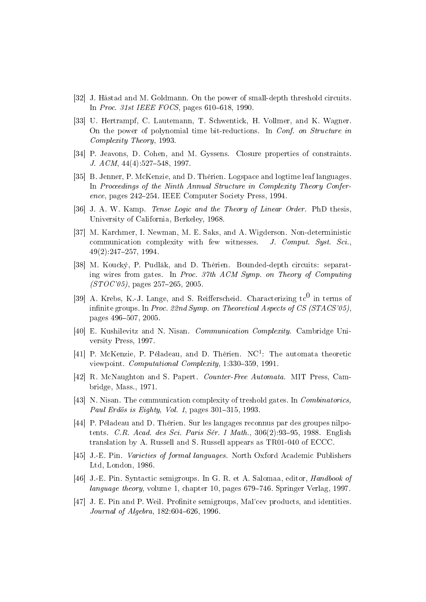- <span id="page-27-8"></span>[32] J. Håstad and M. Goldmann. On the power of small-depth threshold circuits. In Proc. 31st IEEE FOCS, pages  $610-618$ , 1990.
- <span id="page-27-3"></span>[33] U. Hertrampf, C. Lautemann, T. Schwentick, H. Vollmer, and K. Wagner. On the power of polynomial time bit-reductions. In Conf. on Structure in Complexity Theory, 1993.
- <span id="page-27-15"></span>[34] P. Jeavons, D. Cohen, and M. Gyssens. Closure properties of constraints. J.  $ACM$ ,  $44(4):527-548$ , 1997.
- <span id="page-27-14"></span>[35] B. Jenner, P. McKenzie, and D. Thérien. Logspace and logtime leaf languages. In Proceedings of the Ninth Annual Structure in Complexity Theory Conference, pages 242–254. IEEE Computer Society Press, 1994.
- <span id="page-27-5"></span>[36] J. A. W. Kamp. *Tense Logic and the Theory of Linear Order*. PhD thesis, University of California, Berkeley, 1968.
- <span id="page-27-10"></span>[37] M. Karchmer, I. Newman, M. E. Saks, and A. Wigderson. Non-deterministic communication complexity with few witnesses. J. Comput. Syst. Sci.,  $49(2):247-257, 1994.$
- <span id="page-27-2"></span>[38] M. Koucký, P. Pudlák, and D. Thérien. Bounded-depth circuits: separating wires from gates. In Proc. 37th ACM Symp. on Theory of Computing  $(TO C' 05)$ , pages 257–265, 2005.
- <span id="page-27-12"></span>[39] A. Krebs, K.-J. Lange, and S. Reifferscheid. Characterizing  $tc^0$  in terms of infinite groups. In Proc. 22nd Symp. on Theoretical Aspects of CS (STACS'05). pages 496-507, 2005.
- <span id="page-27-7"></span>[40] E. Kushilevitz and N. Nisan. Communication Complexity. Cambridge University Press, 1997.
- <span id="page-27-11"></span>[41] P. McKenzie, P. Péladeau, and D. Thérien. NC<sup>1</sup>: The automata theoretic viewpoint. Computational Complexity, 1:330-359, 1991.
- <span id="page-27-4"></span>[42] R. McNaughton and S. Papert. Counter-Free Automata. MIT Press, Cambridge, Mass., 1971.
- <span id="page-27-9"></span>[43] N. Nisan. The communication complexity of treshold gates. In Combinatorics, Paul Erdös is Eighty, Vol. 1, pages  $301-315$ , 1993.
- <span id="page-27-13"></span>[44] P. Péladeau and D. Thérien. Sur les langages reconnus par des groupes nilpotents. C.R. Acad. des Sci. Paris Sér. I Math.,  $306(2):93-95$ , 1988. English translation by A. Russell and S. Russell appears as TR01-040 of ECCC.
- <span id="page-27-0"></span>[45] J.-E. Pin. Varieties of formal languages. North Oxford Academic Publishers Ltd, London, 1986.
- <span id="page-27-1"></span>[46] J.-E. Pin. Syntactic semigroups. In G. R. et A. Salomaa, editor, Handbook of language theory, volume 1, chapter 10, pages 679–746. Springer Verlag, 1997.
- <span id="page-27-6"></span>[47] J. E. Pin and P. Weil. Profinite semigroups, Mal'cev products, and identities. Journal of Algebra,  $182:604-626$ ,  $1996$ .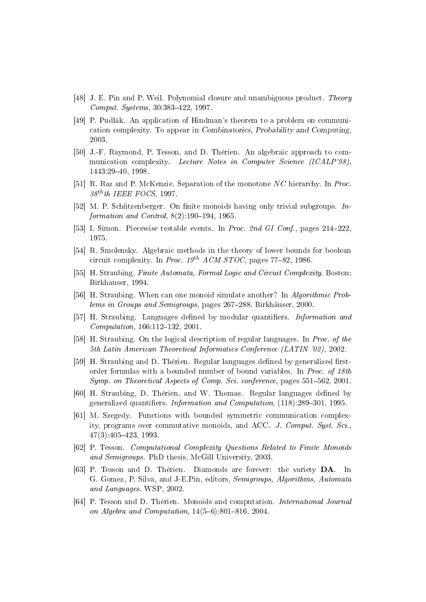- <span id="page-28-10"></span>[48] J. E. Pin and P. Weil. Polynomial closure and unambiguous product. Theory Comput. Systems, 30:383-422, 1997.
- <span id="page-28-13"></span>[49] P. Pudlák. An application of Hindman's theorem to a problem on communication complexity. To appear in Combinatorics, Probability and Computing, 2003.
- <span id="page-28-1"></span>[50] J.-F. Raymond, P. Tesson, and D. Thérien. An algebraic approach to communication complexity. Lecture Notes in Computer Science (ICALP'98) 1443:2940, 1998.
- <span id="page-28-11"></span>[51] R. Raz and P. McKenzie. Separation of the monotone NC hierarchy. In Proc.  $38^{th}$ th IEEE FOCS, 1997.
- <span id="page-28-0"></span>[52] M. P. Schützenberger. On finite monoids having only trivial subgroups.  $In$ formation and Control,  $8(2):190-194$ , 1965.
- <span id="page-28-3"></span>[53] I. Simon. Piecewise testable events. In Proc. 2nd GI Conf., pages 214–222 1975.
- <span id="page-28-15"></span>[54] R. Smolensky. Algebraic methods in the theory of lower bounds for boolean circuit complexity. In Proc.  $19^{th}$  ACM STOC, pages 77-82, 1986.
- <span id="page-28-5"></span>[55] H. Straubing. Finite Automata, Formal Logic and Circuit Complexity. Boston: Birkhauser, 1994.
- <span id="page-28-16"></span>[56] H. Straubing. When can one monoid simulate another? In Algorithmic Problems in Groups and Semigroups, pages 267–288. Birkhäuser, 2000.
- <span id="page-28-6"></span>[57] H. Straubing. Languages defined by modular quantifiers. *Information and*  $Computation, 166:112-132, 2001.$
- <span id="page-28-4"></span>[58] H. Straubing. On the logical description of regular languages. In Proc. of the 5th Latin American Theoretical Informatics Conference (LATIN '02), 2002.
- <span id="page-28-7"></span>[59] H. Straubing and D. Thérien. Regular languages defined by generalized firstorder formulas with a bounded number of bound variables. In Proc. of 18th Symp. on Theoretical Aspects of Comp. Sci. conference, pages 551-562, 2001.
- <span id="page-28-8"></span>[60] H. Straubing, D. Thérien, and W. Thomas. Regular languages defined by generalized quantifiers. Information and Computation, (118):289-301, 1995.
- <span id="page-28-14"></span>[61] M. Szegedy. Functions with bounded symmetric communication complexity, programs over commutative monoids, and ACC. J. Comput. Syst. Sci.,  $47(3)$ :  $405 - 423$ , 1993.
- <span id="page-28-12"></span>[62] P. Tesson. Computational Complexity Questions Related to Finite Monoids and Semigroups. PhD thesis, McGill University, 2003.
- <span id="page-28-9"></span>[63] P. Tesson and D. Thérien. Diamonds are forever: the variety DA. In G. Gomez, P. Silva, and J-E.Pin, editors, Semigroups, Algorithms, Automata and Languages. WSP, 2002.
- <span id="page-28-2"></span>[64] P. Tesson and D. Thérien. Monoids and computation. International Journal on Algebra and Computation,  $14(5-6)$ :801-816, 2004.